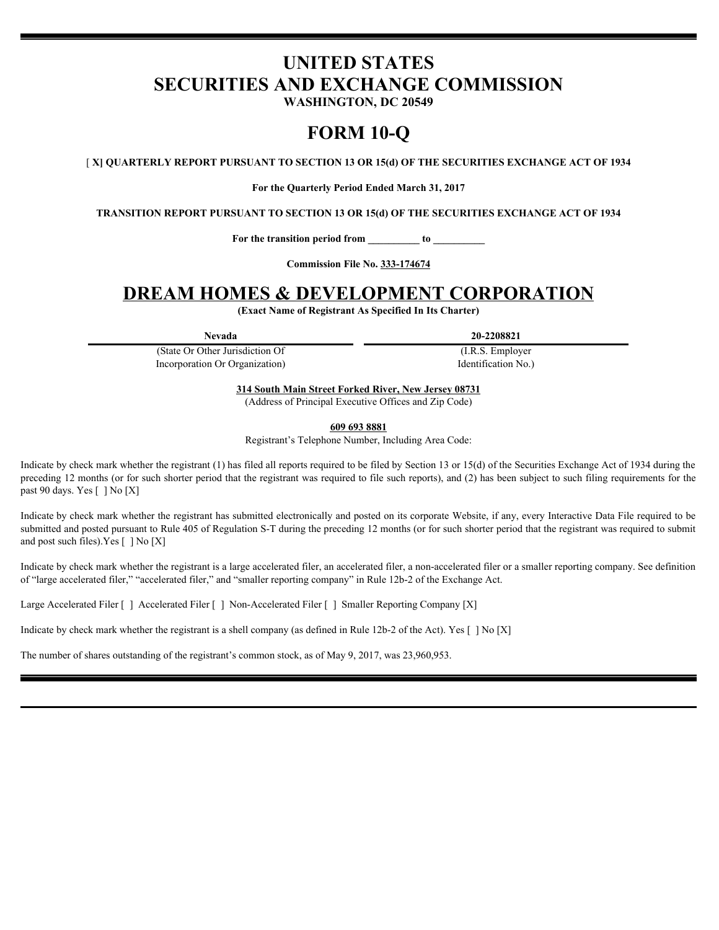# **UNITED STATES SECURITIES AND EXCHANGE COMMISSION**

**WASHINGTON, DC 20549**

# **FORM 10-Q**

[ **X] QUARTERLY REPORT PURSUANT TO SECTION 13 OR 15(d) OF THE SECURITIES EXCHANGE ACT OF 1934**

**For the Quarterly Period Ended March 31, 2017**

**TRANSITION REPORT PURSUANT TO SECTION 13 OR 15(d) OF THE SECURITIES EXCHANGE ACT OF 1934**

**For the transition period from \_\_\_\_\_\_\_\_\_\_ to \_\_\_\_\_\_\_\_\_\_**

**Commission File No. 333-174674**

# **DREAM HOMES & DEVELOPMENT CORPORATION**

**(Exact Name of Registrant As Specified In Its Charter)**

**Nevada 20-2208821**

(State Or Other Jurisdiction Of Incorporation Or Organization)

(I.R.S. Employer Identification No.)

**314 South Main Street Forked River, New Jersey 08731**

(Address of Principal Executive Offices and Zip Code)

**609 693 8881**

Registrant's Telephone Number, Including Area Code:

Indicate by check mark whether the registrant (1) has filed all reports required to be filed by Section 13 or 15(d) of the Securities Exchange Act of 1934 during the preceding 12 months (or for such shorter period that the registrant was required to file such reports), and (2) has been subject to such filing requirements for the past 90 days. Yes [ ] No [X]

Indicate by check mark whether the registrant has submitted electronically and posted on its corporate Website, if any, every Interactive Data File required to be submitted and posted pursuant to Rule 405 of Regulation S-T during the preceding 12 months (or for such shorter period that the registrant was required to submit and post such files).Yes [ ] No [X]

Indicate by check mark whether the registrant is a large accelerated filer, an accelerated filer, a non-accelerated filer or a smaller reporting company. See definition of "large accelerated filer," "accelerated filer," and "smaller reporting company" in Rule 12b-2 of the Exchange Act.

Large Accelerated Filer [ ] Accelerated Filer [ ] Non-Accelerated Filer [ ] Smaller Reporting Company [X]

Indicate by check mark whether the registrant is a shell company (as defined in Rule 12b-2 of the Act). Yes  $[ \ ]$  No  $[X]$ 

The number of shares outstanding of the registrant's common stock, as of May 9, 2017, was 23,960,953.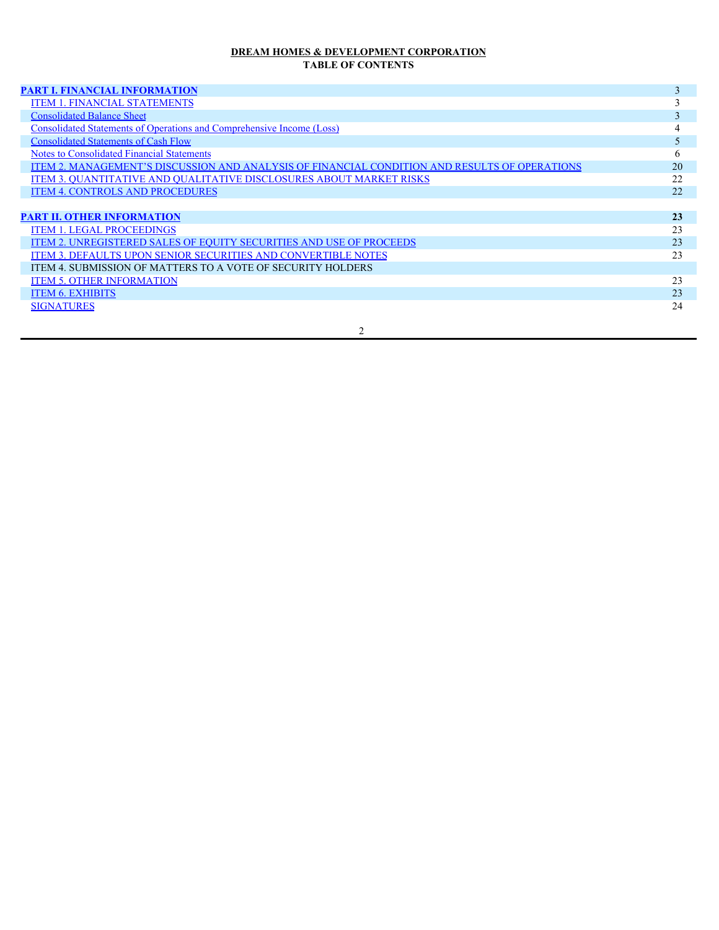## **DREAM HOMES & DEVELOPMENT CORPORATION TABLE OF CONTENTS**

# **PART I. FINANCIAL INFORMATION** 3 ITEM 1. FINANCIAL STATEMENTS 3<br>
Consolidated Balance Sheet 3 **Consolidated Balance Sheet** Consolidated Statements of Operations and Comprehensive Income (Loss) 4 **Consolidated Statements of Cash Flow** 5 Notes to Consolidated Financial Statements 6 ITEM 2. MANAGEMENT'S DISCUSSION AND ANALYSIS OF FINANCIAL CONDITION AND RESULTS OF OPERATIONS 20 ITEM 3. QUANTITATIVE AND QUALITATIVE DISCLOSURES ABOUT MARKET RISKS 22 **ITEM 4. CONTROLS AND PROCEDURES** 22 **PART II. OTHER INFORMATION 23** ITEM 1. LEGAL PROCEEDINGS 23 ITEM 2. UNREGISTERED SALES OF EQUITY SECURITIES AND USE OF PROCEEDS 23 ITEM 3. DEFAULTS UPON SENIOR SECURITIES AND CONVERTIBLE NOTES 23 ITEM 4. SUBMISSION OF MATTERS TO A VOTE OF SECURITY HOLDERS **ITEM 5. OTHER INFORMATION** 23 ITEM 6. EXHIBITS 23 SIGNATURES 24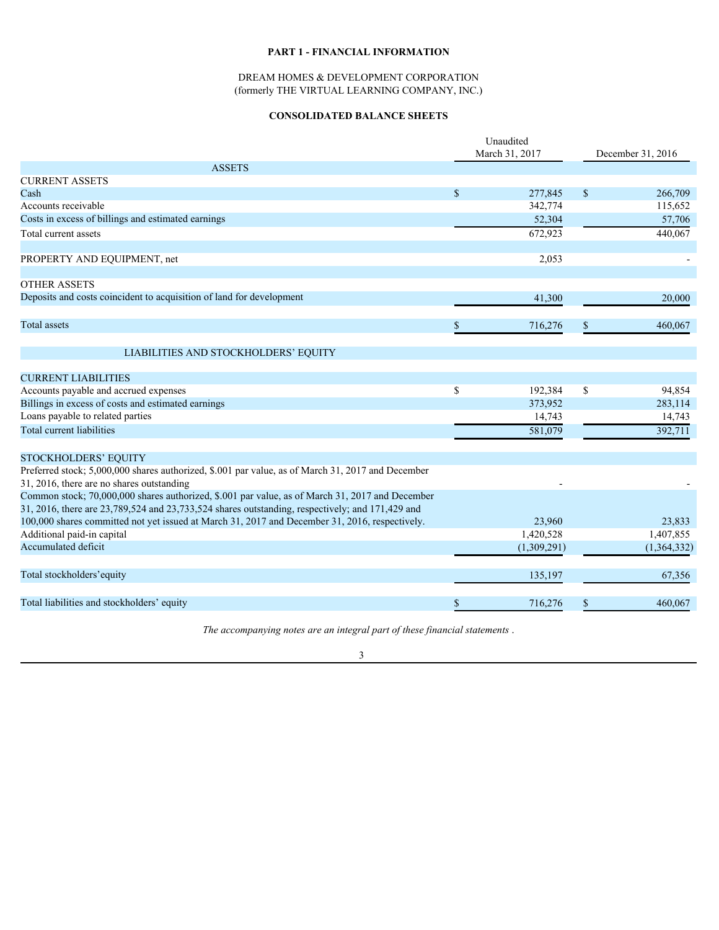# **PART 1 - FINANCIAL INFORMATION**

# DREAM HOMES & DEVELOPMENT CORPORATION (formerly THE VIRTUAL LEARNING COMPANY, INC.)

## **CONSOLIDATED BALANCE SHEETS**

|                                                                                                                                                |              | Unaudited      |                   |             |  |
|------------------------------------------------------------------------------------------------------------------------------------------------|--------------|----------------|-------------------|-------------|--|
|                                                                                                                                                |              | March 31, 2017 | December 31, 2016 |             |  |
| <b>ASSETS</b>                                                                                                                                  |              |                |                   |             |  |
| <b>CURRENT ASSETS</b>                                                                                                                          |              |                |                   |             |  |
| Cash                                                                                                                                           | $\mathbf{S}$ | 277,845        | <sup>S</sup>      | 266,709     |  |
| Accounts receivable                                                                                                                            |              | 342,774        |                   | 115,652     |  |
| Costs in excess of billings and estimated earnings                                                                                             |              | 52,304         |                   | 57,706      |  |
| Total current assets                                                                                                                           |              | 672,923        |                   | 440,067     |  |
| PROPERTY AND EQUIPMENT, net                                                                                                                    |              | 2,053          |                   |             |  |
| <b>OTHER ASSETS</b>                                                                                                                            |              |                |                   |             |  |
| Deposits and costs coincident to acquisition of land for development                                                                           |              | 41,300         |                   | 20,000      |  |
| <b>Total</b> assets                                                                                                                            |              | 716,276        |                   | 460,067     |  |
| LIABILITIES AND STOCKHOLDERS' EQUITY                                                                                                           |              |                |                   |             |  |
| <b>CURRENT LIABILITIES</b>                                                                                                                     |              |                |                   |             |  |
| Accounts payable and accrued expenses                                                                                                          | \$           | 192,384        | \$                | 94,854      |  |
| Billings in excess of costs and estimated earnings                                                                                             |              | 373,952        |                   | 283,114     |  |
| Loans payable to related parties                                                                                                               |              | 14,743         |                   | 14,743      |  |
| Total current liabilities                                                                                                                      |              | 581,079        |                   | 392,711     |  |
| STOCKHOLDERS' EQUITY                                                                                                                           |              |                |                   |             |  |
| Preferred stock; 5,000,000 shares authorized, \$.001 par value, as of March 31, 2017 and December<br>31, 2016, there are no shares outstanding |              |                |                   |             |  |
| Common stock; 70,000,000 shares authorized, \$.001 par value, as of March 31, 2017 and December                                                |              |                |                   |             |  |
| 31, 2016, there are 23,789,524 and 23,733,524 shares outstanding, respectively; and 171,429 and                                                |              |                |                   |             |  |
| 100,000 shares committed not yet issued at March 31, 2017 and December 31, 2016, respectively.                                                 |              | 23,960         |                   | 23,833      |  |
| Additional paid-in capital                                                                                                                     |              | 1,420,528      |                   | 1,407,855   |  |
| Accumulated deficit                                                                                                                            |              | (1,309,291)    |                   | (1,364,332) |  |
| Total stockholders' equity                                                                                                                     |              | 135,197        |                   | 67,356      |  |
| Total liabilities and stockholders' equity                                                                                                     |              | 716,276        |                   | 460,067     |  |
|                                                                                                                                                |              |                |                   |             |  |

*The accompanying notes are an integral part of these financial statements* .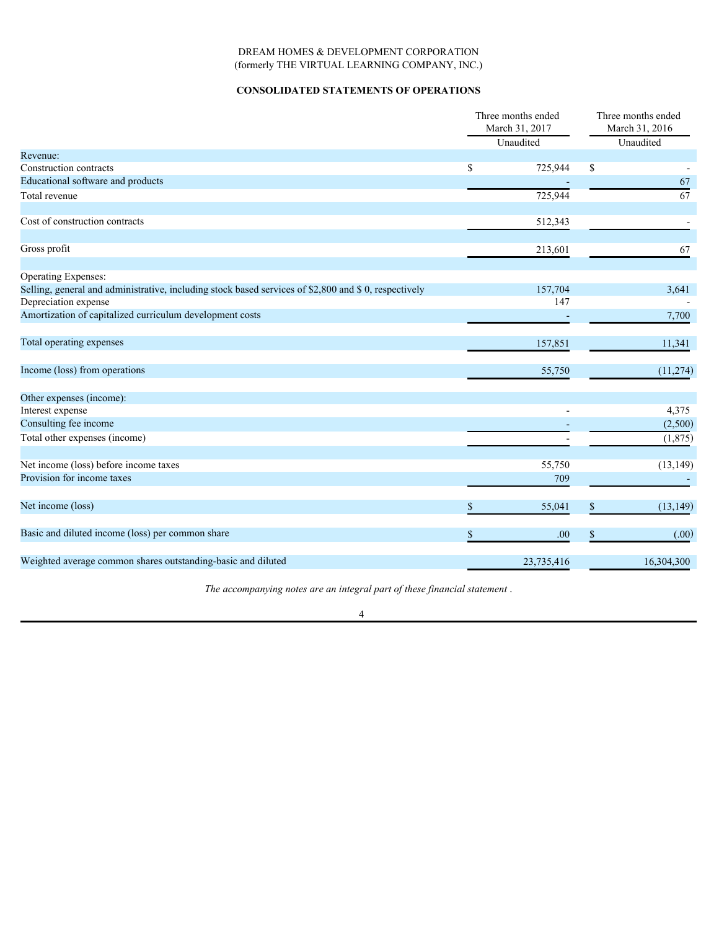# DREAM HOMES & DEVELOPMENT CORPORATION (formerly THE VIRTUAL LEARNING COMPANY, INC.)

# **CONSOLIDATED STATEMENTS OF OPERATIONS**

|                                                                                                      | Three months ended<br>March 31, 2017 |            |               | Three months ended<br>March 31, 2016 |  |
|------------------------------------------------------------------------------------------------------|--------------------------------------|------------|---------------|--------------------------------------|--|
|                                                                                                      |                                      | Unaudited  |               | Unaudited                            |  |
| Revenue:                                                                                             |                                      |            |               |                                      |  |
| Construction contracts                                                                               | \$                                   | 725,944    | $\mathbb{S}$  |                                      |  |
| Educational software and products                                                                    |                                      |            |               | 67                                   |  |
| Total revenue                                                                                        |                                      | 725,944    |               | 67                                   |  |
|                                                                                                      |                                      |            |               |                                      |  |
| Cost of construction contracts                                                                       |                                      | 512,343    |               |                                      |  |
|                                                                                                      |                                      |            |               |                                      |  |
| Gross profit                                                                                         |                                      | 213,601    |               | 67                                   |  |
|                                                                                                      |                                      |            |               |                                      |  |
| Operating Expenses:                                                                                  |                                      |            |               |                                      |  |
| Selling, general and administrative, including stock based services of \$2,800 and \$0, respectively |                                      | 157,704    |               | 3,641                                |  |
| Depreciation expense                                                                                 |                                      | 147        |               |                                      |  |
| Amortization of capitalized curriculum development costs                                             |                                      |            |               | 7,700                                |  |
|                                                                                                      |                                      |            |               |                                      |  |
| Total operating expenses                                                                             |                                      | 157,851    |               | 11,341                               |  |
|                                                                                                      |                                      |            |               |                                      |  |
| Income (loss) from operations                                                                        |                                      | 55,750     |               | (11,274)                             |  |
|                                                                                                      |                                      |            |               |                                      |  |
| Other expenses (income):                                                                             |                                      |            |               |                                      |  |
| Interest expense                                                                                     |                                      |            |               | 4,375                                |  |
| Consulting fee income                                                                                |                                      |            |               | (2,500)                              |  |
| Total other expenses (income)                                                                        |                                      |            |               | (1,875)                              |  |
|                                                                                                      |                                      |            |               |                                      |  |
| Net income (loss) before income taxes                                                                |                                      | 55,750     |               | (13, 149)                            |  |
| Provision for income taxes                                                                           |                                      | 709        |               |                                      |  |
|                                                                                                      |                                      |            |               |                                      |  |
| Net income (loss)                                                                                    |                                      | 55,041     | <sup>\$</sup> | (13, 149)                            |  |
|                                                                                                      |                                      |            |               |                                      |  |
| Basic and diluted income (loss) per common share                                                     | $\mathbf{\hat{S}}$                   | $.00\,$    | \$            | (.00)                                |  |
|                                                                                                      |                                      |            |               |                                      |  |
| Weighted average common shares outstanding-basic and diluted                                         |                                      | 23,735,416 |               | 16,304,300                           |  |
|                                                                                                      |                                      |            |               |                                      |  |

*The accompanying notes are an integral part of these financial statement* .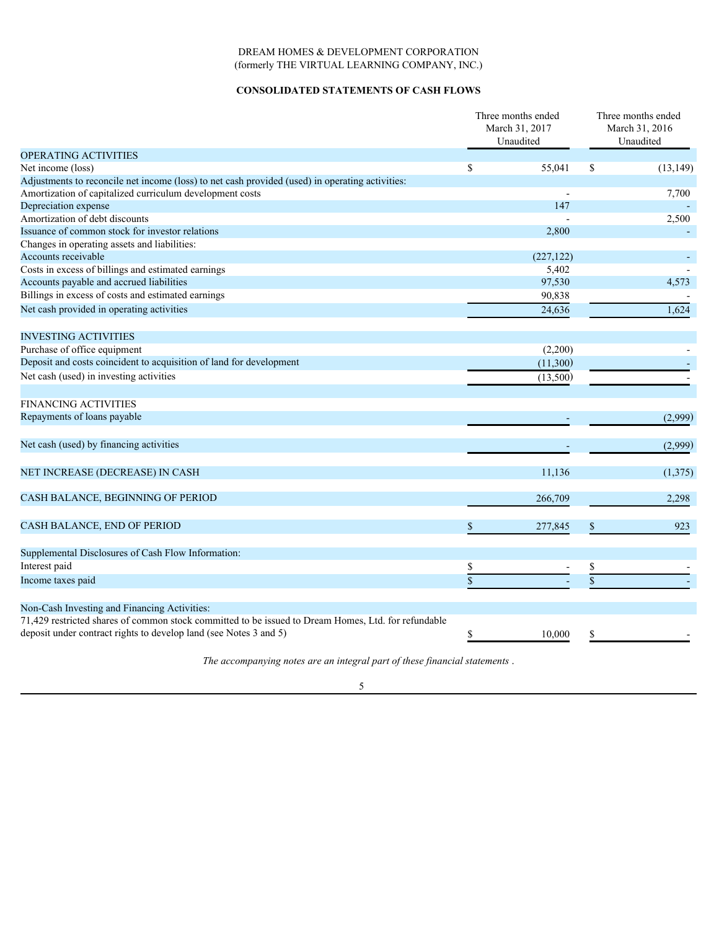# DREAM HOMES & DEVELOPMENT CORPORATION (formerly THE VIRTUAL LEARNING COMPANY, INC.)

# **CONSOLIDATED STATEMENTS OF CASH FLOWS**

|                                                                                                     | Three months ended<br>March 31, 2017<br>Unaudited |            | Three months ended<br>March 31, 2016<br>Unaudited |           |
|-----------------------------------------------------------------------------------------------------|---------------------------------------------------|------------|---------------------------------------------------|-----------|
| <b>OPERATING ACTIVITIES</b>                                                                         |                                                   |            |                                                   |           |
| Net income (loss)                                                                                   | \$                                                | 55,041     | \$                                                | (13, 149) |
| Adjustments to reconcile net income (loss) to net cash provided (used) in operating activities:     |                                                   |            |                                                   |           |
| Amortization of capitalized curriculum development costs                                            |                                                   |            |                                                   | 7,700     |
| Depreciation expense                                                                                |                                                   | 147        |                                                   |           |
| Amortization of debt discounts                                                                      |                                                   |            |                                                   | 2,500     |
| Issuance of common stock for investor relations                                                     |                                                   | 2,800      |                                                   |           |
| Changes in operating assets and liabilities:                                                        |                                                   |            |                                                   |           |
| Accounts receivable                                                                                 |                                                   | (227, 122) |                                                   |           |
| Costs in excess of billings and estimated earnings                                                  |                                                   | 5,402      |                                                   |           |
| Accounts payable and accrued liabilities                                                            |                                                   | 97,530     |                                                   | 4,573     |
| Billings in excess of costs and estimated earnings                                                  |                                                   | 90,838     |                                                   |           |
| Net cash provided in operating activities                                                           |                                                   | 24,636     |                                                   | 1,624     |
| <b>INVESTING ACTIVITIES</b>                                                                         |                                                   |            |                                                   |           |
| Purchase of office equipment                                                                        |                                                   | (2,200)    |                                                   |           |
| Deposit and costs coincident to acquisition of land for development                                 |                                                   | (11,300)   |                                                   |           |
| Net cash (used) in investing activities                                                             |                                                   | (13,500)   |                                                   |           |
| <b>FINANCING ACTIVITIES</b>                                                                         |                                                   |            |                                                   |           |
| Repayments of loans payable                                                                         |                                                   |            |                                                   | (2,999)   |
|                                                                                                     |                                                   |            |                                                   |           |
| Net cash (used) by financing activities                                                             |                                                   |            |                                                   | (2,999)   |
| NET INCREASE (DECREASE) IN CASH                                                                     |                                                   | 11,136     |                                                   | (1,375)   |
|                                                                                                     |                                                   |            |                                                   |           |
| CASH BALANCE, BEGINNING OF PERIOD                                                                   |                                                   | 266,709    |                                                   | 2,298     |
| CASH BALANCE, END OF PERIOD                                                                         |                                                   | 277,845    | S                                                 | 923       |
| Supplemental Disclosures of Cash Flow Information:                                                  |                                                   |            |                                                   |           |
| Interest paid                                                                                       | \$                                                |            | \$                                                |           |
| Income taxes paid                                                                                   | $\mathbf{s}$                                      |            |                                                   |           |
| Non-Cash Investing and Financing Activities:                                                        |                                                   |            |                                                   |           |
| 71,429 restricted shares of common stock committed to be issued to Dream Homes, Ltd. for refundable |                                                   |            |                                                   |           |
| deposit under contract rights to develop land (see Notes 3 and 5)                                   | S                                                 | 10,000     | \$                                                |           |
|                                                                                                     |                                                   |            |                                                   |           |

*The accompanying notes are an integral part of these financial statements* .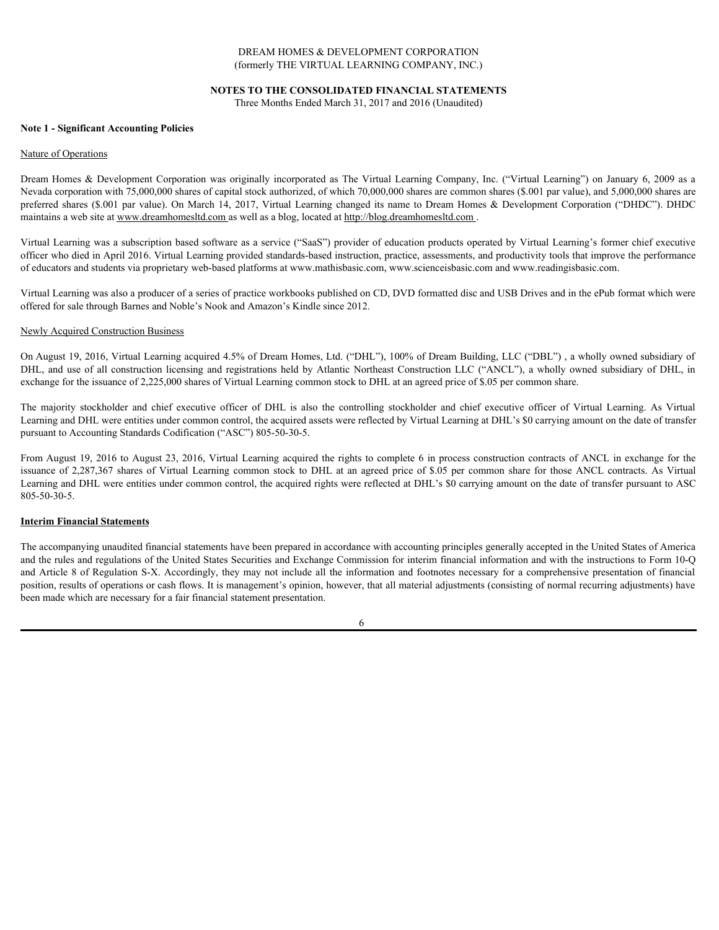## DREAM HOMES & DEVELOPMENT CORPORATION (formerly THE VIRTUAL LEARNING COMPANY, INC.)

#### **NOTES TO THE CONSOLIDATED FINANCIAL STATEMENTS**

Three Months Ended March 31, 2017 and 2016 (Unaudited)

#### **Note 1 - Significant Accounting Policies**

#### Nature of Operations

DREAM HOMES & DEVELOPMENT CORPORATION<br>
(formerly THE VIRTUAL LEARNING COMPANY, INC.)<br> **NOTES TO THE CONSOLIDATED FINANCIAL STATEMENTS**<br>
Diverse Months Ended March 31, 2017 and 2016 (Unaudited)<br>
Distance of Operations<br>
Dist Nevada corporation with 75,000,000 shares of capital stock authorized, of which 70,000,000 shares are common shares (\$.001 par value), and 5,000,000 shares are preferred shares (\$.001 par value). On March 14, 2017, Virtual Learning changed its name to Dream Homes & Development Corporation ("DHDC"). DHDC maintains a web site at www.dreamhomesltd.com as well as a blog, located at http://blog.dreamhomesltd.com . DHL/AM HOMES & DEVELOWERY CORTOUX (HOV)<br> **ENGLES INTO THE CONSULTATI-INTERNATION COMPANY, THE CONSULTATION**<br> **Notes 1 - Significant Accounting Policies**<br>
These Months Findel March 31, 2017 and 2016 (Unnubline)<br>
Decam Homes DREAM HOMES & DEVELOPMENT CORPORATION<br>
(formerly THE VIRTUAL LEARNING COMPANY, INC)<br>
Note 1 - Significant Accounting Pulseio.<br>
Note 1 - Significant Accounting Pulseio.<br>
Note 1 - Significant Accounting Pulseio.<br>
Note that **Source T Common Symmetry Common Symmetry Common Symmetry Common Symmetry (Common Symmetry)**<br>
Name of Operations<br>
Name of Operations<br>
Name of Operations and T5,000,000 shares or equivalently incorporated at The Virtual Tea

Virtual Learning was a subscription based software as a service ("SaaS") provider of education products operated by Virtual Learning's former chief executive officer who died in April 2016. Virtual Learning provided standards-based instruction, practice, assessments, and productivity tools that improve the performance of educators and students via proprietary web-based platforms at www.mathisbasic.com, www.scienceisbasic.com and www.readingisbasic.com.

Virtual Learning was also a producer of a series of practice workbooks published on CD, DVD formatted disc and USB Drives and in the ePub format which were offered for sale through Barnes and Noble's Nook and Amazon's Kindle since 2012.

#### Newly Acquired Construction Business

On August 19, 2016, Virtual Learning acquired 4.5% of Dream Homes, Ltd. ("DHL"), 100% of Dream Building, LLC ("DBL"), a wholly owned subsidiary of DHL, in DHL, and use of all construction licensing and registrations held b exchange for the issuance of 2,225,000 shares of Virtual Learning common stock to DHL at an agreed price of \$.05 per common share.

Learning and DHL were entities under common control, the acquired assets were reflected by Virtual Learning at DHL's \$0 carrying amount on the date of transfer pursuant to Accounting Standards Codification ("ASC") 805-50-30-5.

From August 19, 2016 to August 23, 2016, Virtual Learning acquired the rights to complete 6 in process construction contracts of ANCL in exchange for the Learning and DHL were entities under common control, the acquired rights were reflected at DHL's \$0 carrying amount on the date of transfer pursuant to ASC 805-50-30-5.

## **Interim Financial Statements**

The accompanying unaudited financial statements have been prepared in accordance with accounting principles generally accepted in the United States of America and the rules and regulations of the United States Securities and Exchange Commission for interim financial information and with the instructions to Form 10-Q and Article 8 of Regulation S-X. Accordingly, they may not include all the information and footnotes necessary for a comprehensive presentation of financial position, results of operations or cash flows. It is management's opinion, however, that all material adjustments (consisting of normal recurring adjustments) have been made which are necessary for a fair financial statement presentation.

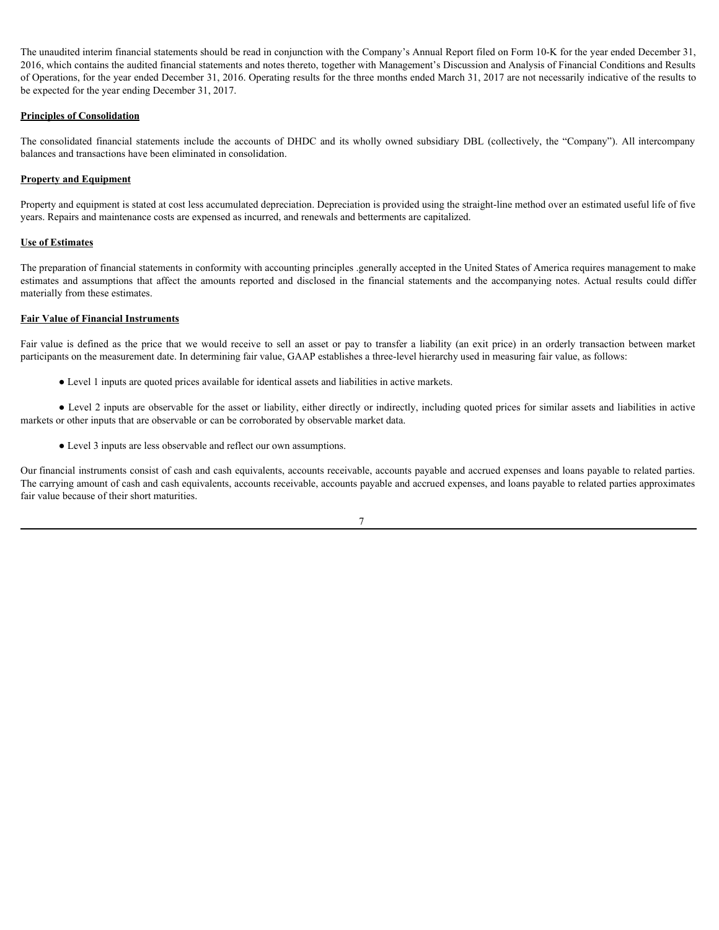The unaudited interim financial statements should be read in conjunction with the Company's Annual Report filed on Form 10-K for the year ended December 31, 2016, which contains the audited financial statements and notes thereto, together with Management's Discussion and Analysis of Financial Conditions and Results of Operations, for the year ended December 31, 2016. Operating results for the three months ended March 31, 2017 are not necessarily indicative of the results to be expected for the year ending December 31, 2017. The unaudited interim financial statements should be read in conjunction with the Company's Annual Report filed on Form 10-K for the year ended December 31, 2010 of Operations, for the year ended December 31, 2016. Operati The unaudited interim financial statements should be read in conjunction with the Company's Annual Report filed on Form 10-K for the year ended December 31, 2010,<br>2010, which contains the and/red financial statements and n The unsulted interna financial statements should be read in conjunction with the Company's Annual Report filed on Ferm 10-K for Wish Constants are also<br>2016, which constant the antiled flamenchal statements and notes ther

## **Principles of Consolidation**

balances and transactions have been eliminated in consolidation.

## **Property and Equipment**

Property and equipment is stated at cost less accumulated depreciation. Depreciation is provided using the straight-line method over an estimated useful life of five years. Repairs and maintenance costs are expensed as incurred, and renewals and betterments are capitalized.

#### **Use of Estimates**

The preparation of financial statements in conformity with accounting principles .generally accepted in the United States of America requires management to make materially from these estimates.

## **Fair Value of Financial Instruments**

participants on the measurement date. In determining fair value, GAAP establishes a three-level hierarchy used in measuring fair value, as follows:

● Level 1 inputs are quoted prices available for identical assets and liabilities in active markets.

● Level 2 inputs are observable for the asset or liability, either directly or indirectly, including quoted prices for similar assets and liabilities in active markets or other inputs that are observable or can be corroborated by observable market data.

● Level 3 inputs are less observable and reflect our own assumptions.

Our financial instruments consist of cash and cash equivalents, accounts receivable, accounts payable and accrued expenses and loans payable to related parties. The carrying amount of cash and cash equivalents, accounts receivable, accounts payable and accrued expenses, and loans payable to related parties approximates fair value because of their short maturities.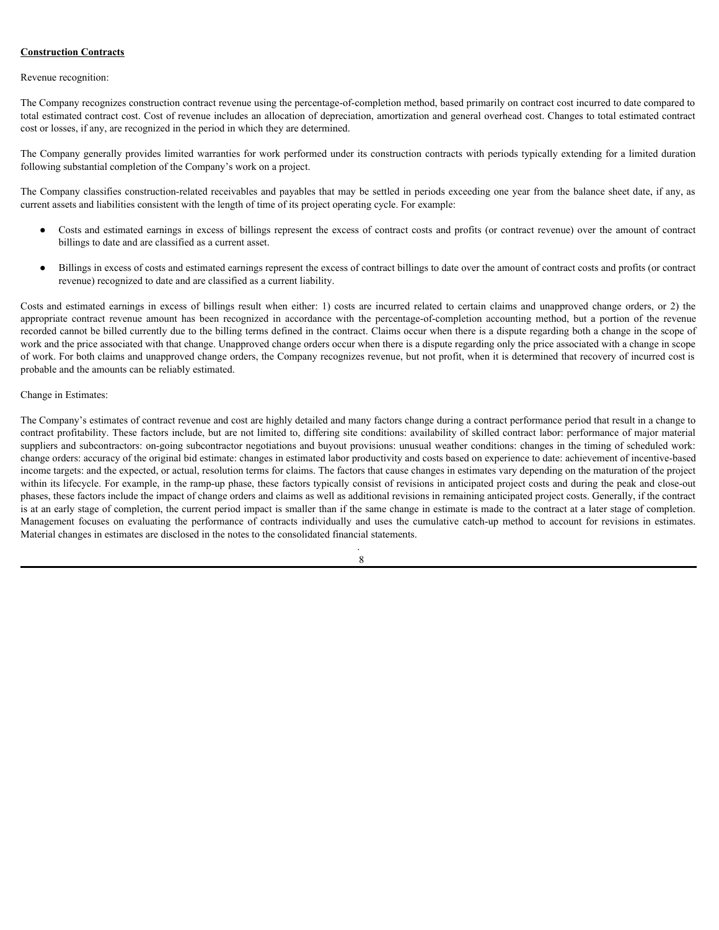## **Construction Contracts**

#### Revenue recognition:

The Company recognizes construction contract revenue using the percentage-of-completion method, based primarily on contract cost incurred to date compared to total estimated contract cost. Cost of revenue includes an allocation of depreciation, amortization and general overhead cost. Changes to total estimated contract cost or losses, if any, are recognized in the period in which they are determined.

The Company generally provides limited warranties for work performed under its construction contracts with periods typically extending for a limited duration following substantial completion of the Company's work on a project.

The Company classifies construction-related receivables and payables that may be settled in periods exceeding one year from the balance sheet date, if any, as current assets and liabilities consistent with the length of time of its project operating cycle. For example:

- Costs and estimated earnings in excess of billings represent the excess of contract costs and profits (or contract revenue) over the amount of contract billings to date and are classified as a current asset.
- Billings in excess of costs and estimated earnings represent the excess of contract billings to date over the amount of contract costs and profits (or contract revenue) recognized to date and are classified as a current liability.

Construction Contracts<br>
Revenue recopnition:<br>
The Company recopnition:<br>
The Company recopnition:<br>
The Company recopnition:<br>
Cost are reconnected in the related in which they are determined.<br>
The Company gauge in the presid **Construction Contracts**<br>
Revenue recognizon:<br>
The Company recognizes construction contract revenue using the prerochings-of-completion method, based primarily on contract cost incurred to date compared to<br>
tool to format recorded cannot be billed currently due to the billing terms defined in the contract. Claims occur when there is a dispute regarding both a change in the scope of work and the price associated with that change. Unapproved change orders occur when there is a dispute regarding only the price associated with a change in scope of work. For both claims and unapproved change orders, the Company recognizes revenue, but not profit, when it is determined that recovery of incurred cost is probable and the amounts can be reliably estimated.

#### Change in Estimates:

The Company's estimates of contract revenue and cost are highly detailed and many factors change during a contract performance period that result in a change to contract profitability. These factors include, but are not limited to, differing site conditions: availability of skilled contract labor: performance of major material suppliers and subcontractors: on-going subcontractor negotiations and buyout provisions: unusual weather conditions: changes in the timing of scheduled work: change orders: accuracy of the original bid estimate: changes in estimated labor productivity and costs based on experience to date: achievement of incentive-based income targets: and the expected, or actual, resolution terms for claims. The factors that cause changes in estimates vary depending on the maturation of the project within its lifecycle. For example, in the ramp-up phase, these factors typically consist of revisions in anticipated project costs and during the peak and close-out phases, these factors include the impact of change orders and claims as well as additional revisions in remaining anticipated project costs. Generally, if the contract is at an early stage of completion, the current period impact is smaller than if the same change in estimate is made to the contract at a later stage of completion. The Company generally provides limited wurntles for work performed under is construction contracts with periodic projection of the Company standard control and the cumulation of the cumulation of the cumulation of the cum Material changes in estimates are disclosed in the notes to the consolidated financial statements.



.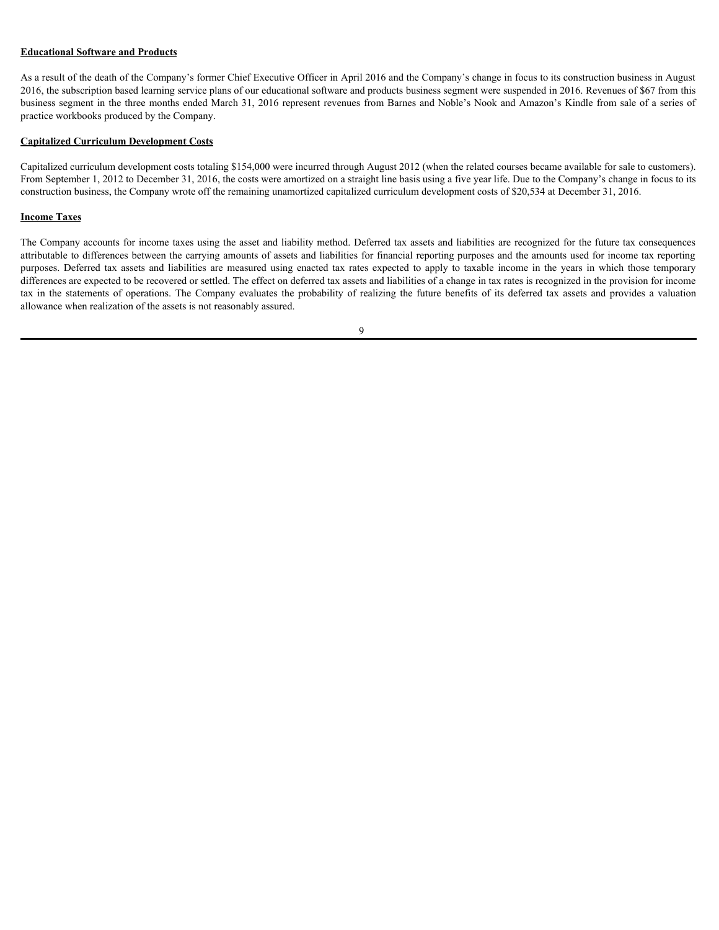## **Educational Software and Products**

As a result of the death of the Company's former Chief Executive Officer in April 2016 and the Company's change in focus to its construction business in August 2016, the subscription based learning service plans of our educational software and products business segment were suspended in 2016. Revenues of \$67 from this business segment in the three months ended March 31, 2016 represent revenues from Barnes and Noble's Nook and Amazon's Kindle from sale of a series of practice workbooks produced by the Company.

## **Capitalized Curriculum Development Costs**

Capitalized curriculum development costs totaling \$154,000 were incurred through August 2012 (when the related courses became available for sale to customers). From September 1, 2012 to December 31, 2016, the costs were amortized on a straight line basis using a five year life. Due to the Company's change in focus to its construction business, the Company wrote off the remaining unamortized capitalized curriculum development costs of \$20,534 at December 31, 2016.

## **Income Taxes**

The Company accounts for income taxes using the asset and liability method. Deferred tax assets and liabilities are recognized for the future tax consequences attributable to differences between the carrying amounts of assets and liabilities for financial reporting purposes and the amounts used for income tax reporting **Educational Software and Products**<br>As a result of the death of the Company's former Chird Easewive Officer in April 2016 and the Company's change in focus to its conduction busines in Aquust<br>2016, the subscription based differences are expected to be recovered or settled. The effect on deferred tax assets and liabilities of a change in tax rates is recognized in the provision for income **Educational Software and Products**<br>
As a result of the death of the Company's former Chief Fxecutive Officer in April 2016 and the Company's change in focus to its construction best of states in Apput<br>
2010, the subscrip allowance when realization of the assets is not reasonably assured.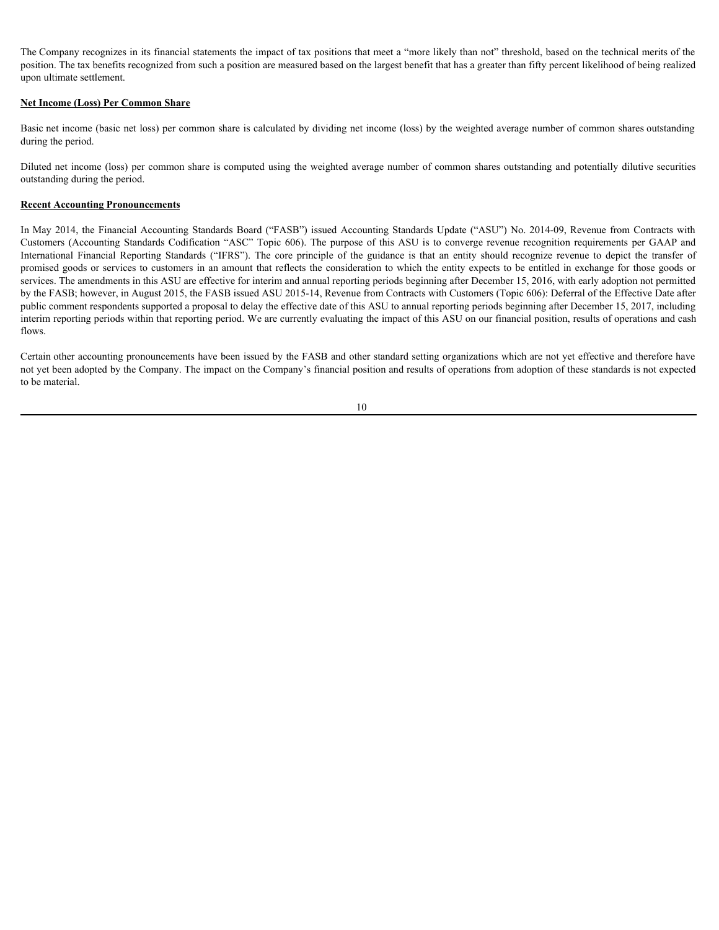The Company recognizes in its financial statements the impact of tax positions that meet a "more likely than not" threshold, based on the technical merits of the position. The tax benefits recognized from such a position are measured based on the largest benefit that has a greater than fifty percent likelihood of being realized upon ultimate settlement.

## **Net Income (Loss) Per Common Share**

Basic net income (basic net loss) per common share is calculated by dividing net income (loss) by the weighted average number of common shares outstanding during the period.

Diluted net income (loss) per common share is computed using the weighted average number of common shares outstanding and potentially dilutive securities outstanding during the period.

## **Recent Accounting Pronouncements**

In May 2014, the Financial Accounting Standards Board ("FASB") issued Accounting Standards Update ("ASU") No. 2014-09, Revenue from Contracts with Customers (Accounting Standards Codification "ASC" Topic 606). The purpose The Company recognizes in its financial statemens the impact of tax positions that meet a "more likely than not" threshold, based on the technical merits of the position. The tax benefit recognized from such a position are The Company recognizes in its financial statements the impact of tax positions liat meet a "more likely than mot" threshold, based on the rehemical merits of the position The tax benefits recognized from stands and the mor promised goods or services to customers in an amount that reflects the consideration to which the entity expects to be entitled in exchange for those goods or services. The amendments in this ASU are effective for interim and annual reporting periods beginning after December 15, 2016, with early adoption not permitted by the FASB; however, in August 2015, the FASB issued ASU 2015-14, Revenue from Contracts with Customers (Topic 606): Deferral of the Effective Date after public comment respondents supported a proposal to delay the effective date of this ASU to annual reporting periods beginning after December 15, 2017, including interim reporting periods within that reporting period. We are currently evaluating the impact of this ASU on our financial position, results of operations and cash flows.

Certain other accounting pronouncements have been issued by the FASB and other standard setting organizations which are not yet effective and therefore have not yet been adopted by the Company. The impact on the Company's financial position and results of operations from adoption of these standards is not expected to be material.

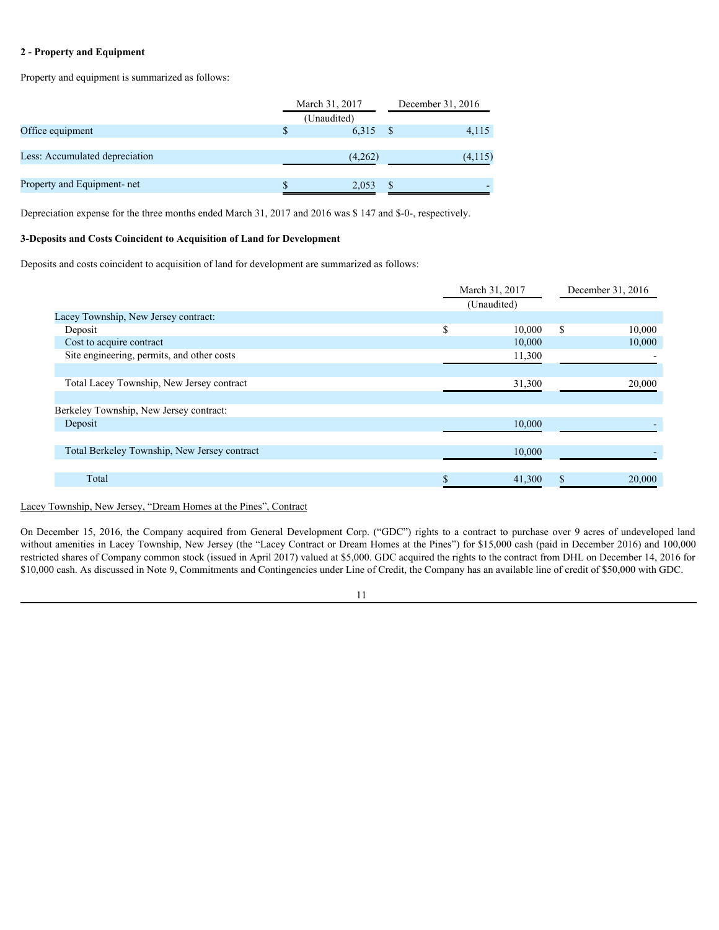## **2 - Property and Equipment**

Property and equipment is summarized as follows:

|                                | March 31, 2017 |  | December 31, 2016 |  |
|--------------------------------|----------------|--|-------------------|--|
|                                | (Unaudited)    |  |                   |  |
| Office equipment               | 6,315          |  | 4,115             |  |
|                                |                |  |                   |  |
| Less: Accumulated depreciation | (4,262)        |  | (4,115)           |  |
|                                |                |  |                   |  |
| Property and Equipment- net    | 2,053          |  |                   |  |
|                                |                |  |                   |  |

## **3-Deposits and Costs Coincident to Acquisition of Land for Development**

| Less: Accumulated depreciation                                                                                                                                                                                                                                                                                                                                                                                                                                                                                                                                                                                                                                                                                       | (4,262) |              | (4,115)                       |        |      |                   |
|----------------------------------------------------------------------------------------------------------------------------------------------------------------------------------------------------------------------------------------------------------------------------------------------------------------------------------------------------------------------------------------------------------------------------------------------------------------------------------------------------------------------------------------------------------------------------------------------------------------------------------------------------------------------------------------------------------------------|---------|--------------|-------------------------------|--------|------|-------------------|
| Property and Equipment- net                                                                                                                                                                                                                                                                                                                                                                                                                                                                                                                                                                                                                                                                                          | 2,053   | -S           |                               |        |      |                   |
| Depreciation expense for the three months ended March 31, 2017 and 2016 was \$147 and \$-0-, respectively.                                                                                                                                                                                                                                                                                                                                                                                                                                                                                                                                                                                                           |         |              |                               |        |      |                   |
| 3-Deposits and Costs Coincident to Acquisition of Land for Development                                                                                                                                                                                                                                                                                                                                                                                                                                                                                                                                                                                                                                               |         |              |                               |        |      |                   |
| Deposits and costs coincident to acquisition of land for development are summarized as follows:                                                                                                                                                                                                                                                                                                                                                                                                                                                                                                                                                                                                                      |         |              |                               |        |      |                   |
|                                                                                                                                                                                                                                                                                                                                                                                                                                                                                                                                                                                                                                                                                                                      |         |              | March 31, 2017<br>(Unaudited) |        |      | December 31, 2016 |
| Lacey Township, New Jersey contract:                                                                                                                                                                                                                                                                                                                                                                                                                                                                                                                                                                                                                                                                                 |         |              |                               |        |      |                   |
| Deposit                                                                                                                                                                                                                                                                                                                                                                                                                                                                                                                                                                                                                                                                                                              |         | $\mathbb{S}$ |                               | 10,000 | - \$ | 10,000            |
| Cost to acquire contract                                                                                                                                                                                                                                                                                                                                                                                                                                                                                                                                                                                                                                                                                             |         |              |                               | 10,000 |      | 10,000            |
| Site engineering, permits, and other costs                                                                                                                                                                                                                                                                                                                                                                                                                                                                                                                                                                                                                                                                           |         |              |                               | 11,300 |      |                   |
| Total Lacey Township, New Jersey contract                                                                                                                                                                                                                                                                                                                                                                                                                                                                                                                                                                                                                                                                            |         |              |                               | 31,300 |      | 20,000            |
| Berkeley Township, New Jersey contract:                                                                                                                                                                                                                                                                                                                                                                                                                                                                                                                                                                                                                                                                              |         |              |                               |        |      |                   |
| Deposit                                                                                                                                                                                                                                                                                                                                                                                                                                                                                                                                                                                                                                                                                                              |         |              |                               | 10,000 |      |                   |
| Total Berkeley Township, New Jersey contract                                                                                                                                                                                                                                                                                                                                                                                                                                                                                                                                                                                                                                                                         |         |              |                               | 10,000 |      |                   |
| Total                                                                                                                                                                                                                                                                                                                                                                                                                                                                                                                                                                                                                                                                                                                |         |              |                               | 41,300 |      | 20,000            |
| Lacey Township, New Jersey, "Dream Homes at the Pines", Contract<br>On December 15, 2016, the Company acquired from General Development Corp. ("GDC") rights to a contract to purchase over 9 acres of undeveloped land<br>without amenities in Lacey Township, New Jersey (the "Lacey Contract or Dream Homes at the Pines") for \$15,000 cash (paid in December 2016) and 100,000<br>restricted shares of Company common stock (issued in April 2017) valued at \$5,000. GDC acquired the rights to the contract from DHL on December 14, 2016 for<br>\$10,000 cash. As discussed in Note 9, Commitments and Contingencies under Line of Credit, the Company has an available line of credit of \$50,000 with GDC. | 11      |              |                               |        |      |                   |

## Lacey Township, New Jersey, "Dream Homes at the Pines", Contract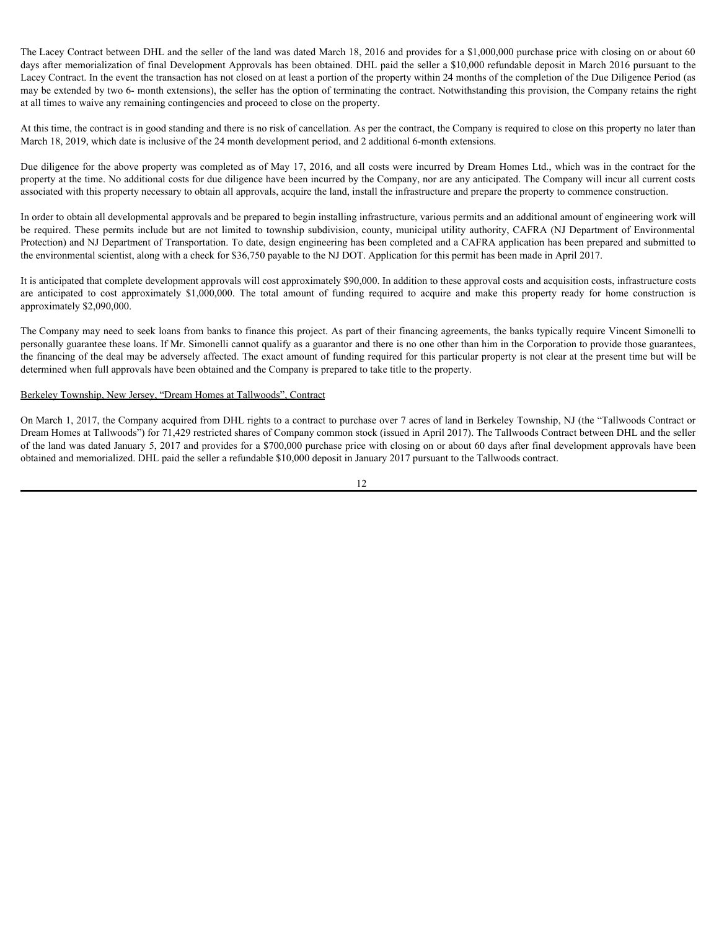The Lacey Contract between DHL and the seller of the land was dated March 18, 2016 and provides for a \$1,000,000 purchase price with closing on or about 60 days after memorialization of final Development Approvals has been obtained. DHL paid the seller a \$10,000 refundable deposit in March 2016 pursuant to the Lacey Contract. In the event the transaction has not closed on at least a portion of the property within 24 months of the completion of the Due Diligence Period (as may be extended by two 6- month extensions), the seller has the option of terminating the contract. Notwithstanding this provision, the Company retains the right at all times to waive any remaining contingencies and proceed to close on the property. The Lucey Contract between DHL and the seller of the land was dated March 18, 2010 and provides for a S1,000,000 purchase price with closing on or about 00<br>days alier mementatization of End Doeslopmat Approvals have been d

At this time, the contract is in good standing and there is no risk of cancellation. As per the contract, the Company is required to close on this property no later than March 18, 2019, which date is inclusive of the 24 month development period, and 2 additional 6-month extensions.

Due diligence for the above property was completed as of May 17, 2016, and all costs were incurred by Dream Homes Ltd., which was in the contract for the property at the time. No additional costs for due diligence have been incurred by the Company, nor are any anticipated. The Company will incur all current costs associated with this property necessary to obtain all approvals, acquire the land, install the infrastructure and prepare the property to commence construction.

In order to obtain all developmental approvals and be prepared to begin installing infrastructure, various permits and an additional amount of engineering work will be required. These permits include but are not limited to township subdivision, county, municipal utility authority, CAFRA (NJ Department of Environmental Protection) and NJ Department of Transportation. To date, design engineering has been completed and a CAFRA application has been prepared and submitted to the environmental scientist, along with a check for \$36,750 payable to the NJ DOT. Application for this permit has been made in April 2017.

It is anticipated that complete development approvals will cost approximately \$90,000. In addition to these approval costs and acquisition costs, infrastructure costs approximately \$2,090,000.

The Company may need to seek loans from banks to finance this project. As part of their financing agreements, the banks typically require Vincent Simonelli to personally guarantee these loans. If Mr. Simonelli cannot qualify as a guarantor and there is no one other than him in the Corporation to provide those guarantees, the financing of the deal may be adversely affected. The exact amount of funding required for this particular property is not clear at the present time but will be determined when full approvals have been obtained and the Company is prepared to take title to the property.

## Berkeley Township, New Jersey, "Dream Homes at Tallwoods", Contract

On March 1, 2017, the Company acquired from DHL rights to a contract to purchase over 7 acres of land in Berkeley Township, NJ (the "Tallwoods Contract or Dream Homes at Tallwoods") for 71,429 restricted shares of Company common stock (issued in April 2017). The Tallwoods Contract between DHL and the seller of the land was dated January 5, 2017 and provides for a \$700,000 purchase price with closing on or about 60 days after final development approvals have been obtained and memorialized. DHL paid the seller a refundable \$10,000 deposit in January 2017 pursuant to the Tallwoods contract.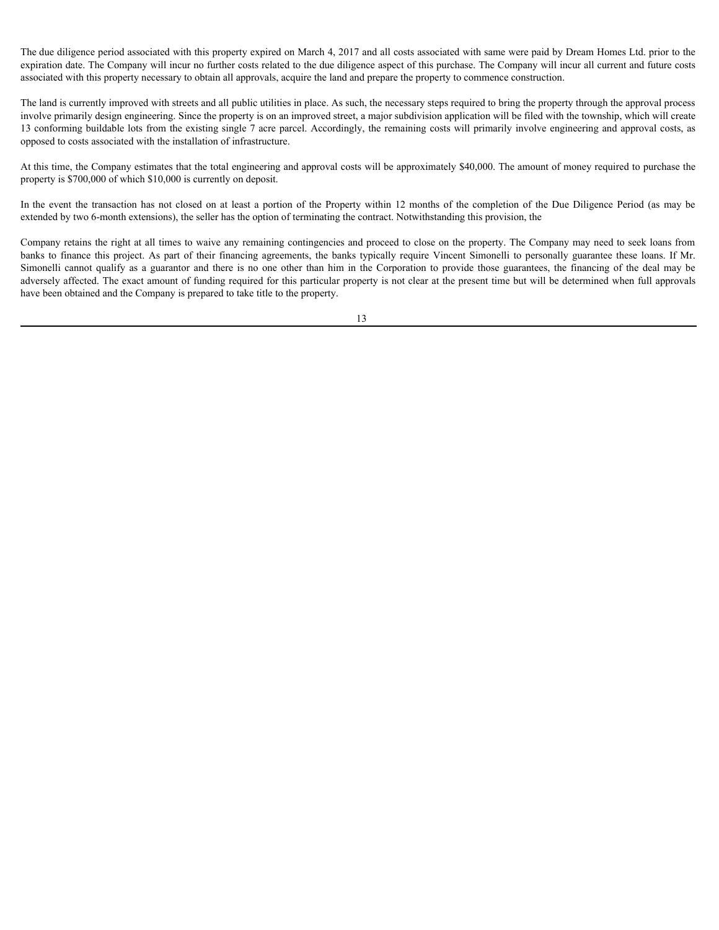The due diligence period associated with this property expired on March 4, 2017 and all costs associated with same were paid by Dream Homes Ltd. prior to the expiration date. The Company will incur no further costs related to the due diligence aspect of this purchase. The Company will incur all current and future costs associated with this property necessary to obtain all approvals, acquire the land and prepare the property to commence construction.

The land is currently improved with streets and all public utilities in place. As such, the necessary steps required to bring the property through the approval process involve primarily design engineering. Since the property is on an improved street, a major subdivision application will be filed with the township, which will create 13 conforming buildable lots from the existing single 7 acre parcel. Accordingly, the remaining costs will primarily involve engineering and approval costs, as opposed to costs associated with the installation of infrastructure.

At this time, the Company estimates that the total engineering and approval costs will be approximately \$40,000. The amount of money required to purchase the property is \$700,000 of which \$10,000 is currently on deposit.

extended by two 6-month extensions), the seller has the option of terminating the contract. Notwithstanding this provision, the

The due diligence period associated with this property expired on March 4, 2017 and all costs associated with same were paid by Dream Homes I.d. prior to the experition date. The Company will incur an future no further cos Company retains the right at all times to waive any remaining contingencies and proceed to close on the property. The Company may need to seek loans from The due diligence period associated with this property expired on March 4, 2017 and all costs associated with same were paid by Dream Homes Ltd, prior to the second project system agress than the company will mean required The due diligence period associated with this property expired on March 4, 2017 and all costs associated with same were paid by Dream Homes Ltd, prior to the experimentant and the Company will mean to hurter costs stanced adversely affected. The exact amount of funding required for this particular property is not clear at the present time but will be determined when full approvals have been obtained and the Company is prepared to take title to the property.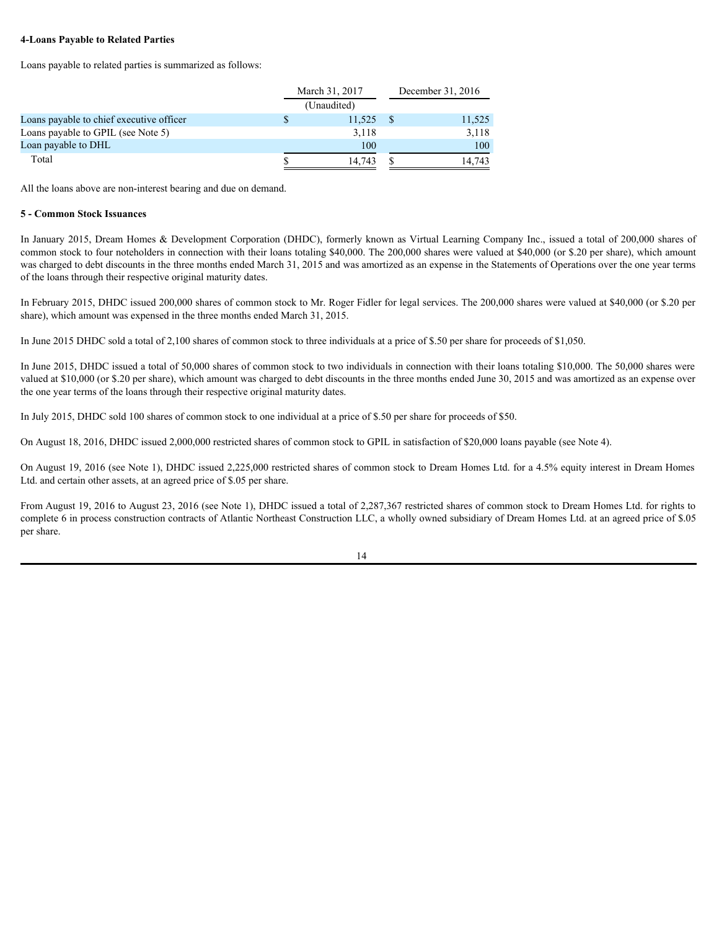#### **4-Loans Payable to Related Parties**

Loans payable to related parties is summarized as follows:

|                                          | March 31, 2017 |             | December 31, 2016 |  |  |
|------------------------------------------|----------------|-------------|-------------------|--|--|
|                                          |                | (Unaudited) |                   |  |  |
| Loans payable to chief executive officer |                | 11,525      | 11,525            |  |  |
| Loans payable to GPIL (see Note 5)       |                | 3,118       | 3,118             |  |  |
| Loan payable to DHL                      |                | 100         | 100               |  |  |
| Total                                    |                | 14.743      | 14.743            |  |  |

All the loans above are non-interest bearing and due on demand.

## **5 - Common Stock Issuances**

In January 2015, Dream Homes & Development Corporation (DHDC), formerly known as Virtual Learning Company Inc., issued a total of 200,000 shares of common stock to four noteholders in connection with their loans totaling \$40,000. The 200,000 shares were valued at \$40,000 (or \$.20 per share), which amount was charged to debt discounts in the three months ended March 31, 2015 and was amortized as an expense in the Statements of Operations over the one year terms of the loans through their respective original maturity dates.

In February 2015, DHDC issued 200,000 shares of common stock to Mr. Roger Fidler for legal services. The 200,000 shares were valued at \$40,000 (or \$.20 per share), which amount was expensed in the three months ended March 31, 2015.

In June 2015 DHDC sold a total of 2,100 shares of common stock to three individuals at a price of \$.50 per share for proceeds of \$1,050.

In June 2015, DHDC issued a total of 50,000 shares of common stock to two individuals in connection with their loans totaling \$10,000. The 50,000 shares were valued at \$10,000 (or \$.20 per share), which amount was charged to debt discounts in the three months ended June 30, 2015 and was amortized as an expense over the one year terms of the loans through their respective original maturity dates.

In July 2015, DHDC sold 100 shares of common stock to one individual at a price of \$.50 per share for proceeds of \$50.

On August 18, 2016, DHDC issued 2,000,000 restricted shares of common stock to GPIL in satisfaction of \$20,000 loans payable (see Note 4).

On August 19, 2016 (see Note 1), DHDC issued 2,225,000 restricted shares of common stock to Dream Homes Ltd. for a 4.5% equity interest in Dream Homes Ltd. and certain other assets, at an agreed price of \$.05 per share.

From August 19, 2016 to August 23, 2016 (see Note 1), DHDC issued a total of 2,287,367 restricted shares of common stock to Dream Homes Ltd. for rights to complete 6 in process construction contracts of Atlantic Northeast Construction LLC, a wholly owned subsidiary of Dream Homes Ltd. at an agreed price of \$.05 per share.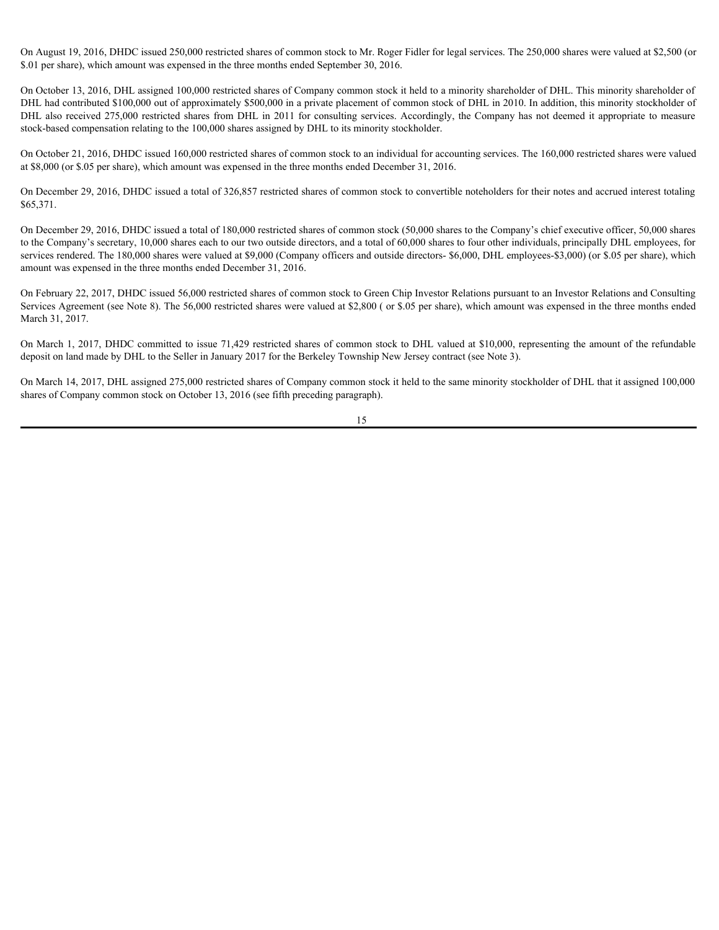On August 19, 2016, DHDC issued 250,000 restricted shares of common stock to Mr. Roger Fidler for legal services. The 250,000 shares were valued at \$2,500 (or \$.01 per share), which amount was expensed in the three months ended September 30, 2016.

On October 13, 2016, DHL assigned 100,000 restricted shares of Company common stock it held to a minority shareholder of DHL. This minority shareholder of DHL had contributed \$100,000 out of approximately \$500,000 in a private placement of common stock of DHL in 2010. In addition, this minority stockholder of DHL also received 275,000 restricted shares from DHL in 2011 for consulting services. Accordingly, the Company has not deemed it appropriate to measure stock-based compensation relating to the 100,000 shares assigned by DHL to its minority stockholder.

On October 21, 2016, DHDC issued 160,000 restricted shares of common stock to an individual for accounting services. The 160,000 restricted shares were valued at \$8,000 (or \$.05 per share), which amount was expensed in the three months ended December 31, 2016.

On December 29, 2016, DHDC issued a total of 326,857 restricted shares of common stock to convertible noteholders for their notes and accrued interest totaling \$65,371.

On December 29, 2016, DHDC issued a total of 180,000 restricted shares of common stock (50,000 shares to the Company's chief executive officer, 50,000 shares to the Company's secretary, 10,000 shares each to our two outside directors, and a total of 60,000 shares to four other individuals, principally DHL employees, for services rendered. The 180,000 shares were valued at \$9,000 (Company officers and outside directors- \$6,000, DHL employees-\$3,000) (or \$.05 per share), which amount was expensed in the three months ended December 31, 2016.

On February 22, 2017, DHDC issued 56,000 restricted shares of common stock to Green Chip Investor Relations pursuant to an Investor Relations and Consulting Services Agreement (see Note 8). The 56,000 restricted shares were valued at \$2,800 (or \$.05 per share), which amount was expensed in the three months ended March 31, 2017.

On March 1, 2017, DHDC committed to issue 71,429 restricted shares of common stock to DHL valued at \$10,000, representing the amount of the refundable deposit on land made by DHL to the Seller in January 2017 for the Berkeley Township New Jersey contract (see Note 3).

On March 14, 2017, DHL assigned 275,000 restricted shares of Company common stock it held to the same minority stockholder of DHL that it assigned 100,000 shares of Company common stock on October 13, 2016 (see fifth preceding paragraph).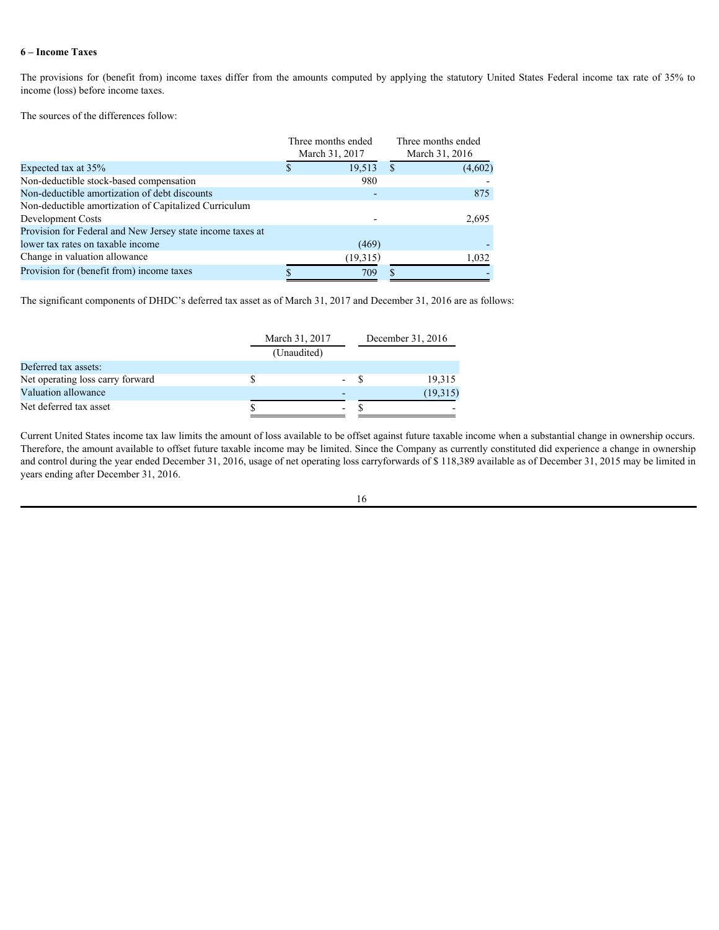## **6 – Income Taxes**

| 6 - Income Taxes                                                                                                                                          |                        |                                    |
|-----------------------------------------------------------------------------------------------------------------------------------------------------------|------------------------|------------------------------------|
| The provisions for (benefit from) income taxes differ from the amounts computed by applying the statutory United States Federal income tax rate of 35% to |                        |                                    |
| income (loss) before income taxes.                                                                                                                        |                        |                                    |
|                                                                                                                                                           |                        |                                    |
| The sources of the differences follow:                                                                                                                    |                        |                                    |
|                                                                                                                                                           | Three months ended     | Three months ended                 |
|                                                                                                                                                           | March 31, 2017         | March 31, 2016                     |
| Expected tax at 35%                                                                                                                                       | 19,513<br>$\mathbb{S}$ | $\overline{\mathbb{S}}$<br>(4,602) |
| Non-deductible stock-based compensation                                                                                                                   | 980                    | $\overline{a}$                     |
| Non-deductible amortization of debt discounts                                                                                                             |                        | 875                                |
| Non-deductible amortization of Capitalized Curriculum<br>Development Costs                                                                                |                        | 2,695                              |
| Provision for Federal and New Jersey state income taxes at                                                                                                |                        |                                    |
| lower tax rates on taxable income<br>Change in valuation allowance                                                                                        | (469)<br>(19,315)      | 1,032                              |

The significant components of DHDC's deferred tax asset as of March 31, 2017 and December 31, 2016 are as follows:

| March 31, 2017 |                          | December 31, 2016        |
|----------------|--------------------------|--------------------------|
| (Unaudited)    |                          |                          |
|                |                          |                          |
|                | $\sim$                   | 19,315                   |
|                |                          | (19,315)                 |
|                | $\overline{\phantom{0}}$ | $\overline{\phantom{0}}$ |
|                |                          |                          |

Current United States income tax law limits the amount of loss available to be offset against future taxable income when a substantial change in ownership occurs. Therefore, the amount available to offset future taxable income may be limited. Since the Company as currently constituted did experience a change in ownership and control during the year ended December 31, 2016, usage of net operating loss carryforwards of \$ 118,389 available as of December 31, 2015 may be limited in years ending after December 31, 2016.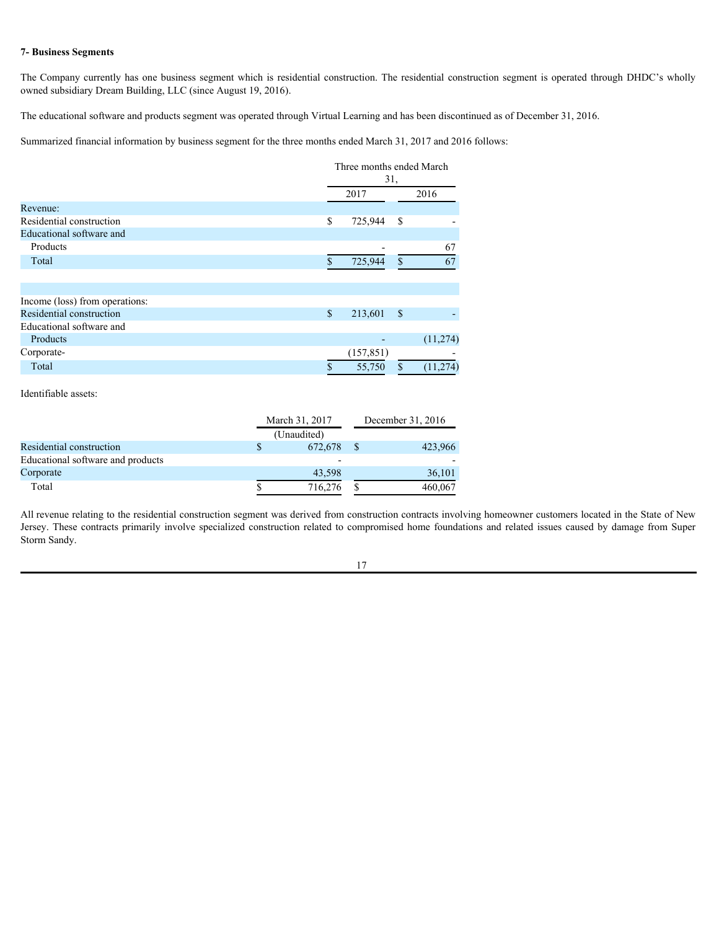#### **7- Business Segments**

The Company currently has one business segment which is residential construction. The residential construction segment is operated through DHDC's wholly owned subsidiary Dream Building, LLC (since August 19, 2016).

The educational software and products segment was operated through Virtual Learning and has been discontinued as of December 31, 2016.

Summarized financial information by business segment for the three months ended March 31, 2017 and 2016 follows:

| Summarized financial information by business segment for the three months ended March 31, 2017 and 2016 follows:                                               |              |                |               |                          |
|----------------------------------------------------------------------------------------------------------------------------------------------------------------|--------------|----------------|---------------|--------------------------|
|                                                                                                                                                                |              |                |               | Three months ended March |
|                                                                                                                                                                |              |                | 31,           |                          |
|                                                                                                                                                                |              |                | 2017          | 2016                     |
| Revenue:                                                                                                                                                       |              |                |               |                          |
| Residential construction                                                                                                                                       |              | S              | 725,944 \$    |                          |
| Educational software and                                                                                                                                       |              |                |               |                          |
| Products                                                                                                                                                       |              |                |               | 67                       |
| Total                                                                                                                                                          |              |                | 725,944       | 67                       |
| Income (loss) from operations:                                                                                                                                 |              |                |               |                          |
| Residential construction                                                                                                                                       |              | $\mathbb{S}$   | 213,601 \$    |                          |
| Educational software and                                                                                                                                       |              |                |               |                          |
| Products                                                                                                                                                       |              |                | $\sim$        | (11,274)                 |
| Corporate-                                                                                                                                                     |              |                | (157, 851)    |                          |
| Total                                                                                                                                                          |              |                | 55,750        | (11,274)<br>-S           |
| Identifiable assets:                                                                                                                                           |              |                |               |                          |
|                                                                                                                                                                |              |                |               |                          |
|                                                                                                                                                                |              | March 31, 2017 |               | December 31, 2016        |
|                                                                                                                                                                |              | (Unaudited)    |               |                          |
| Residential construction                                                                                                                                       | <sup>S</sup> | 672,678 \$     |               | 423,966                  |
| Educational software and products<br>Corporate                                                                                                                 |              |                |               |                          |
|                                                                                                                                                                |              | 43,598         |               | 36,101                   |
| Total                                                                                                                                                          |              | 716,276        | <sup>\$</sup> | 460,067                  |
| All revenue relating to the residential construction segment was derived from construction contracts involving homeowner customers located in the State of New |              |                |               |                          |
| Jersey. These contracts primarily involve specialized construction related to compromised home foundations and related issues caused by damage from Super      |              |                |               |                          |
|                                                                                                                                                                |              |                |               |                          |
|                                                                                                                                                                |              |                |               |                          |
| Storm Sandy.                                                                                                                                                   |              |                |               |                          |
|                                                                                                                                                                |              |                | 17            |                          |

|                                   | March 31, 2017 |  | December 31, 2016 |  |  |
|-----------------------------------|----------------|--|-------------------|--|--|
|                                   | (Unaudited)    |  |                   |  |  |
| Residential construction          | 672.678        |  | 423,966           |  |  |
| Educational software and products |                |  |                   |  |  |
| Corporate                         | 43.598         |  | 36,101            |  |  |
| Total                             | 716.276        |  | 460,067           |  |  |
|                                   |                |  |                   |  |  |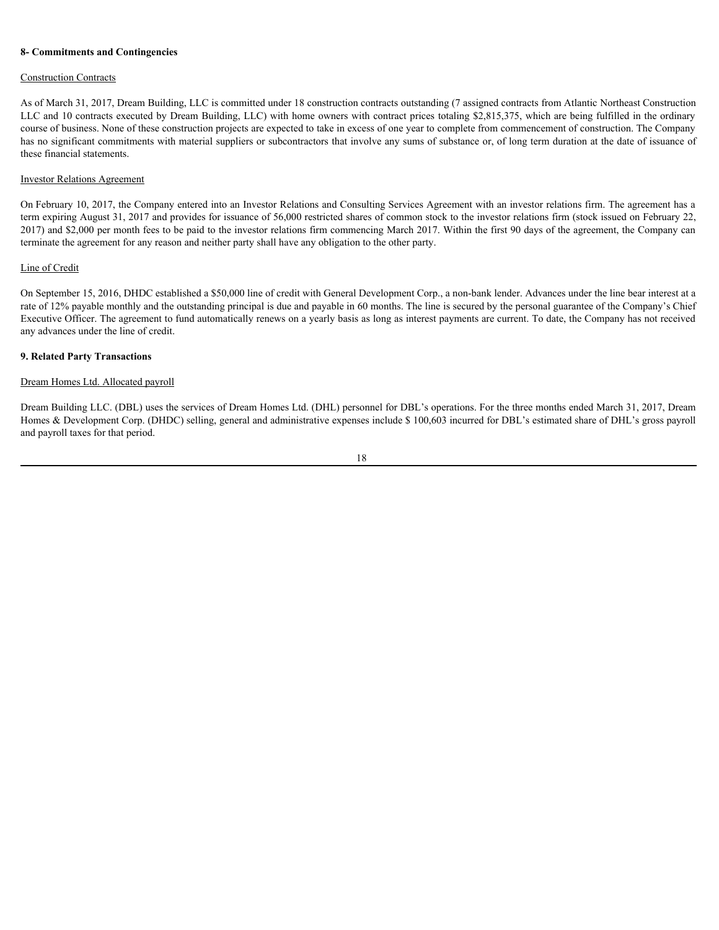#### **8- Commitments and Contingencies**

## Construction Contracts

As of March 31, 2017, Dream Building, LLC is committed under 18 construction contracts outstanding (7 assigned contracts from Atlantic Northeast Construction LLC and 10 contracts executed by Dream Building, LLC) with home owners with contract prices totaling \$2,815,375, which are being fulfilled in the ordinary course of business. None of these construction projects are expected to take in excess of one year to complete from commencement of construction. The Company has no significant commitments with material suppliers or subcontractors that involve any sums of substance or, of long term duration at the date of issuance of these financial statements.

#### Investor Relations Agreement

On February 10, 2017, the Company entered into an Investor Relations and Consulting Services Agreement with an investor relations firm. The agreement has a term expiring August 31, 2017 and provides for issuance of 56,000 restricted shares of common stock to the investor relations firm (stock issued on February 22, 2017) and \$2,000 per month fees to be paid to the investor relations firm commencing March 2017. Within the first 90 days of the agreement, the Company can terminate the agreement for any reason and neither party shall have any obligation to the other party.

#### Line of Credit

On September 15, 2016, DHDC established a \$50,000 line of credit with General Development Corp., a non-bank lender. Advances under the line bear interest at a rate of 12% payable monthly and the outstanding principal is due and payable in 60 months. The line is secured by the personal guarantee of the Company's Chief Executive Officer. The agreement to fund automatically renews on a yearly basis as long as interest payments are current. To date, the Company has not received any advances under the line of credit.

## **9. Related Party Transactions**

## Dream Homes Ltd. Allocated payroll

Dream Building LLC. (DBL) uses the services of Dream Homes Ltd. (DHL) personnel for DBL's operations. For the three months ended March 31, 2017, Dream Homes & Development Corp. (DHDC) selling, general and administrative expenses include \$ 100,603 incurred for DBL's estimated share of DHL's gross payroll and payroll taxes for that period.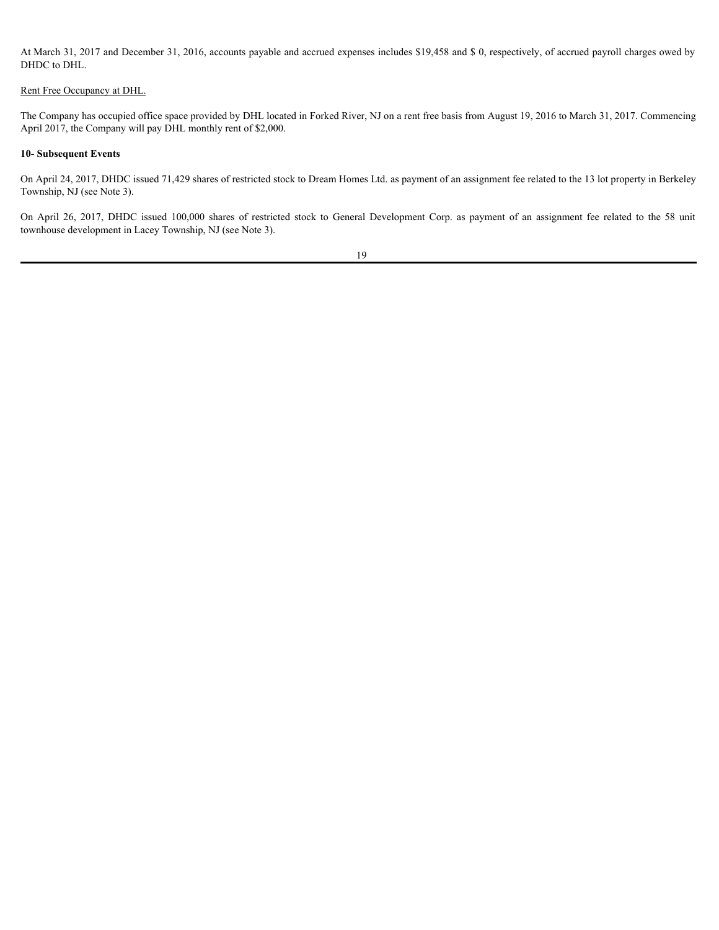At March 31, 2017 and December 31, 2016, accounts payable and accrued expenses includes \$19,458 and \$ 0, respectively, of accrued payroll charges owed by DHDC to DHL. At March 31, 2017 and December 31, 2016, accounts payable and accrued expenses includes \$19,458 and \$ 0, respectively, of accrued payroll charges owed by DHU. Rent Free Coeupancy at DHI.<br>
Rent Free Occupancy at DHI.<br>
The C

## Rent Free Occupancy at DHL.

The Company has occupied office space provided by DHL located in Forked River, NJ on a rent free basis from August 19, 2016 to March 31, 2017. Commencing April 2017, the Company will pay DHL monthly rent of \$2,000.

## **10- Subsequent Events**

On April 24, 2017, DHDC issued 71,429 shares of restricted stock to Dream Homes Ltd. as payment of an assignment fee related to the 13 lot property in Berkeley Township, NJ (see Note 3).

townhouse development in Lacey Township, NJ (see Note 3).

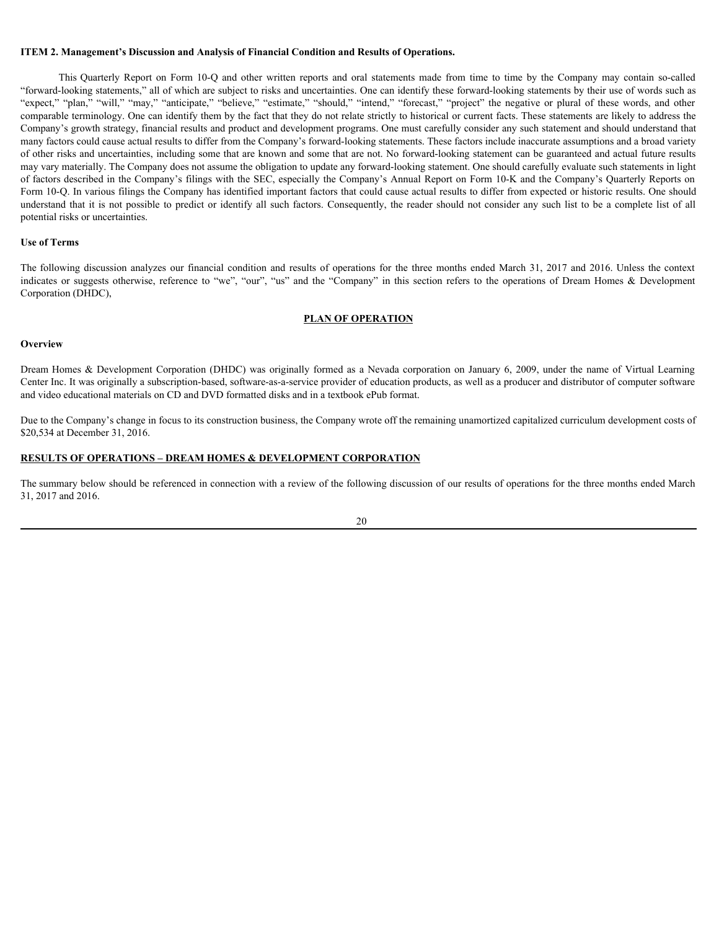#### **ITEM 2. Management's Discussion and Analysis of Financial Condition and Results of Operations.**

**Management's Discussion and Analysis of Financial Condition and Results of Operations.**<br>This Quarterly Report on Form 10-Q and other written reports and oral statements made from time to time by the Company may contain so "forward-looking statements," all of which are subject to risks and uncertainties. One can identify these forward-looking statements by their use of words such as TTEM 2. Management's Discussion and Analysis of Financial Condition and Results of Operations.<br>
This Quarterly Report on Form 10-Q and other written reports and oral statements made from time to time by the Company may con comparable terminology. One can identify them by the fact that they do not relate strictly to historical or current facts. These statements are likely to address the Company's growth strategy, financial results and product and development programs. One must carefully consider any such statement and should understand that many factors could cause actual results to differ from the Company's forward-looking statements. These factors include inaccurate assumptions and a broad variety of other risks and uncertainties, including some that are known and some that are not. No forward-looking statement can be guaranteed and actual future results may vary materially. The Company does not assume the obligation to update any forward-looking statement. One should carefully evaluate such statements in light of factors described in the Company's filings with the SEC, especially the Company's Annual Report on Form 10-K and the Company's Quarterly Reports on Form 10-Q. In various filings the Company has identified important factors that could cause actual results to differ from expected or historic results. One should understand that it is not possible to predict or identify all such factors. Consequently, the reader should not consider any such list to be a complete list of all potential risks or uncertainties. **TTEM 2. Management's Discussion and Analysis of Financial Condition and Results of Operations.**<br>
This Quartery Report on Form 10-Q and other written reports and oral statements made from time to time by the Company rany **ITEM 2. Management's Discussion and Analysis of Financial Condition and Results of Operations.**<br>
This Quarterly Report on Form 10-Q and other written reports and one datements made from time to time by the Company may co TIEM 2. Management's Discussion and Analysis of Friamelia Condition and Results of Operations.<br>
This Corporation Results are found in the other written reports and construction model from the name by the Company may centa

#### **Use of Terms**

Corporation (DHDC),

### **PLAN OF OPERATION**

#### **Overview Overview** *Overview*

Center Inc. It was originally a subscription-based, software-as-a-service provider of education products, as well as a producer and distributor of computer software and video educational materials on CD and DVD formatted disks and in a textbook ePub format.

Due to the Company's change in focus to its construction business, the Company wrote off the remaining unamortized capitalized curriculum development costs of \$20,534 at December 31, 2016.

#### **RESULTS OF OPERATIONS – DREAM HOMES & DEVELOPMENT CORPORATION**

The summary below should be referenced in connection with a review of the following discussion of our results of operations for the three months ended March 31, 2017 and 2016.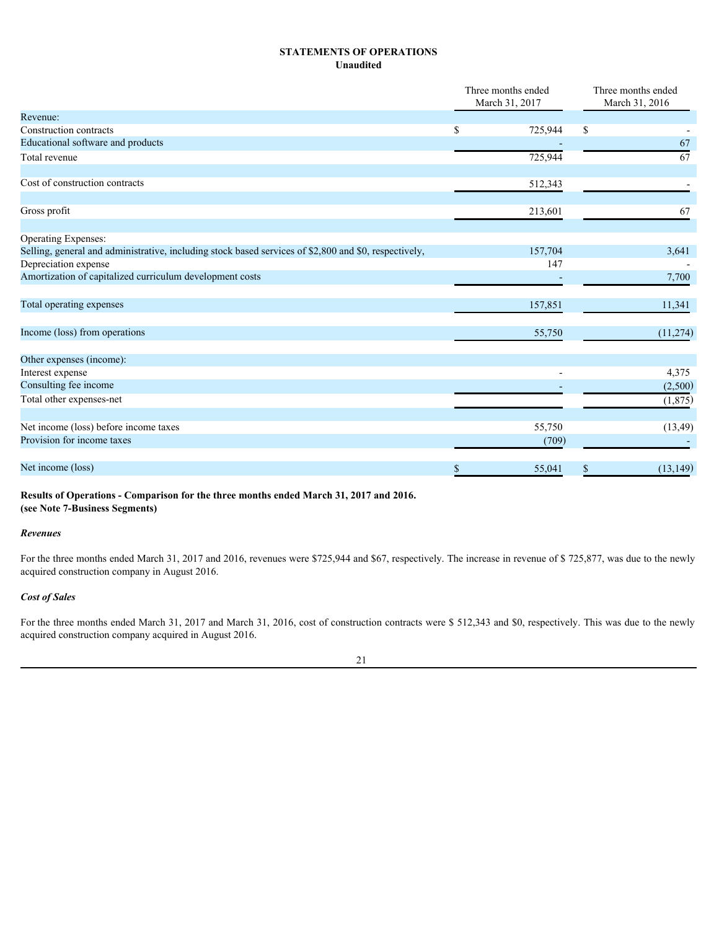# **STATEMENTS OF OPERATIONS Unaudited**

|                                                                                                       |     | Three months ended<br>March 31, 2017 | Three months ended<br>March 31, 2016 |           |
|-------------------------------------------------------------------------------------------------------|-----|--------------------------------------|--------------------------------------|-----------|
| Revenue:                                                                                              |     |                                      |                                      |           |
| Construction contracts                                                                                | \$. | 725,944                              | \$                                   |           |
| Educational software and products                                                                     |     |                                      |                                      | 67        |
| Total revenue                                                                                         |     | 725,944                              |                                      | 67        |
| Cost of construction contracts                                                                        |     | 512,343                              |                                      |           |
| Gross profit                                                                                          |     | 213,601                              |                                      | 67        |
| <b>Operating Expenses:</b>                                                                            |     |                                      |                                      |           |
| Selling, general and administrative, including stock based services of \$2,800 and \$0, respectively, |     | 157,704                              |                                      | 3,641     |
| Depreciation expense                                                                                  |     | 147                                  |                                      |           |
| Amortization of capitalized curriculum development costs                                              |     |                                      |                                      | 7,700     |
| Total operating expenses                                                                              |     | 157,851                              |                                      | 11,341    |
| Income (loss) from operations                                                                         |     | 55,750                               |                                      | (11,274)  |
| Other expenses (income):                                                                              |     |                                      |                                      |           |
| Interest expense                                                                                      |     |                                      |                                      | 4,375     |
| Consulting fee income                                                                                 |     |                                      |                                      | (2,500)   |
| Total other expenses-net                                                                              |     |                                      |                                      | (1,875)   |
| Net income (loss) before income taxes                                                                 |     | 55,750                               |                                      | (13, 49)  |
| Provision for income taxes                                                                            |     | (709)                                |                                      |           |
| Net income (loss)                                                                                     |     | 55,041                               |                                      | (13, 149) |
|                                                                                                       |     |                                      |                                      |           |

## **Results of Operations - Comparison for the three months ended March 31, 2017 and 2016. (see Note 7-Business Segments)**

## *Revenues*

For the three months ended March 31, 2017 and 2016, revenues were \$725,944 and \$67, respectively. The increase in revenue of \$725,877, was due to the newly acquired construction company in August 2016.

#### *Cost of Sales*

For the three months ended March 31, 2017 and March 31, 2016, cost of construction contracts were \$ 512,343 and \$0, respectively. This was due to the newly acquired construction company acquired in August 2016.

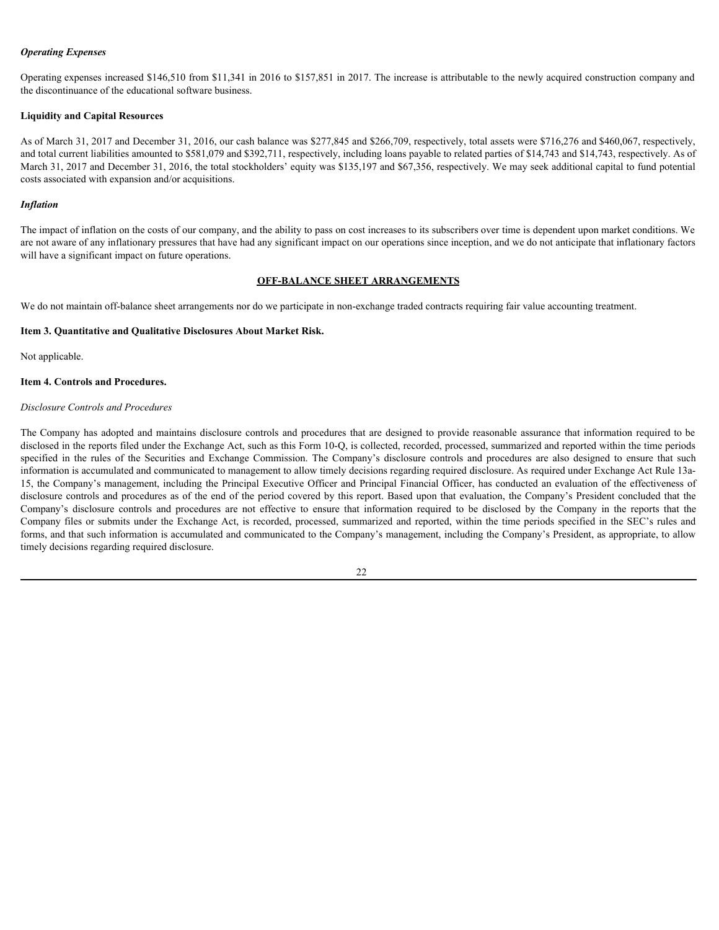## *Operating Expenses*

Operating expenses increased \$146,510 from \$11,341 in 2016 to \$157,851 in 2017. The increase is attributable to the newly acquired construction company and the discontinuance of the educational software business.

## **Liquidity and Capital Resources**

As of March 31, 2017 and December 31, 2016, our cash balance was \$277,845 and \$266,709, respectively, total assets were \$716,276 and \$460,067, respectively, and total current liabilities amounted to \$581,079 and \$392,711, respectively, including loans payable to related parties of \$14,743 and \$14,743, respectively. As of March 31, 2017 and December 31, 2016, the total stockholders' equity was \$135,197 and \$67,356, respectively. We may seek additional capital to fund potential costs associated with expansion and/or acquisitions.

#### *Inflation*

The impact of inflation on the costs of our company, and the ability to pass on cost increases to its subscribers over time is dependent upon market conditions. We are not aware of any inflationary pressures that have had any significant impact on our operations since inception, and we do not anticipate that inflationary factors will have a significant impact on future operations.

#### **OFF-BALANCE SHEET ARRANGEMENTS**

We do not maintain off-balance sheet arrangements nor do we participate in non-exchange traded contracts requiring fair value accounting treatment.

#### **Item 3. Quantitative and Qualitative Disclosures About Market Risk.**

Not applicable.

## **Item 4. Controls and Procedures.**

## *Disclosure Controls and Procedures*

The Company has adopted and maintains disclosure controls and procedures that are designed to provide reasonable assurance that information required to be disclosed in the reports filed under the Exchange Act, such as this Form 10-Q, is collected, recorded, processed, summarized and reported within the time periods Operative presents and specified to the specified the results and specified by the company's matched to the Company's matched to the Company's matched to the Company and Liquidity and Capital Resources<br>
Liquidity and Capi information is accumulated and communicated to management to allow timely decisions regarding required disclosure. As required under Exchange Act Rule 13a-15, the Company's management, including the Principal Executive Officer and Principal Financial Officer, has conducted an evaluation of the effectiveness of disclosure controls and procedures as of the end of the period covered by this report. Based upon that evaluation, the Company's President concluded that the As of Murch 11, 2017 and Describer 31, 2016, our only halone was \$277,845 and \$266,709, respectively, total ansets are \$216,276 and \$460,067, respectively, including control and control and the control and the control and Company files or submits under the Exchange Act, is recorded, processed, summarized and reported, within the time periods specified in the SEC's rules and forms, and that such information is accumulated and communicated to the Company's management, including the Company's President, as appropriate, to allow timely decisions regarding required disclosure.

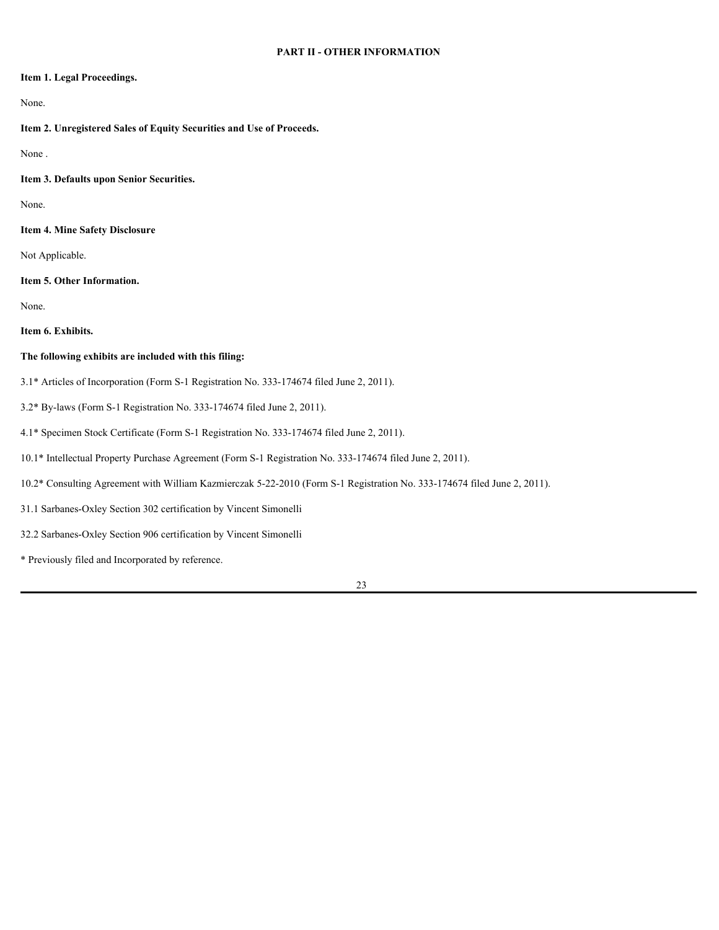## **Item 1. Legal Proceedings.**

## None.

**Item 2. Unregistered Sales of Equity Securities and Use of Proceeds.**

None .

**Item 3. Defaults upon Senior Securities.**

None.

**Item 4. Mine Safety Disclosure**

Not Applicable.

**Item 5. Other Information.**

None.

**Item 6. Exhibits.**

## **The following exhibits are included with this filing:**

- 3.1\* Articles of Incorporation (Form S-1 Registration No. 333-174674 filed June 2, 2011).
- 3.2\* By-laws (Form S-1 Registration No. 333-174674 filed June 2, 2011).
- 4.1\* Specimen Stock Certificate (Form S-1 Registration No. 333-174674 filed June 2, 2011).
- 10.1\* Intellectual Property Purchase Agreement (Form S-1 Registration No. 333-174674 filed June 2, 2011).
- 10.2\* Consulting Agreement with William Kazmierczak 5-22-2010 (Form S-1 Registration No. 333-174674 filed June 2, 2011).
- 31.1 Sarbanes-Oxley Section 302 certification by Vincent Simonelli
- 32.2 Sarbanes-Oxley Section 906 certification by Vincent Simonelli
- \* Previously filed and Incorporated by reference.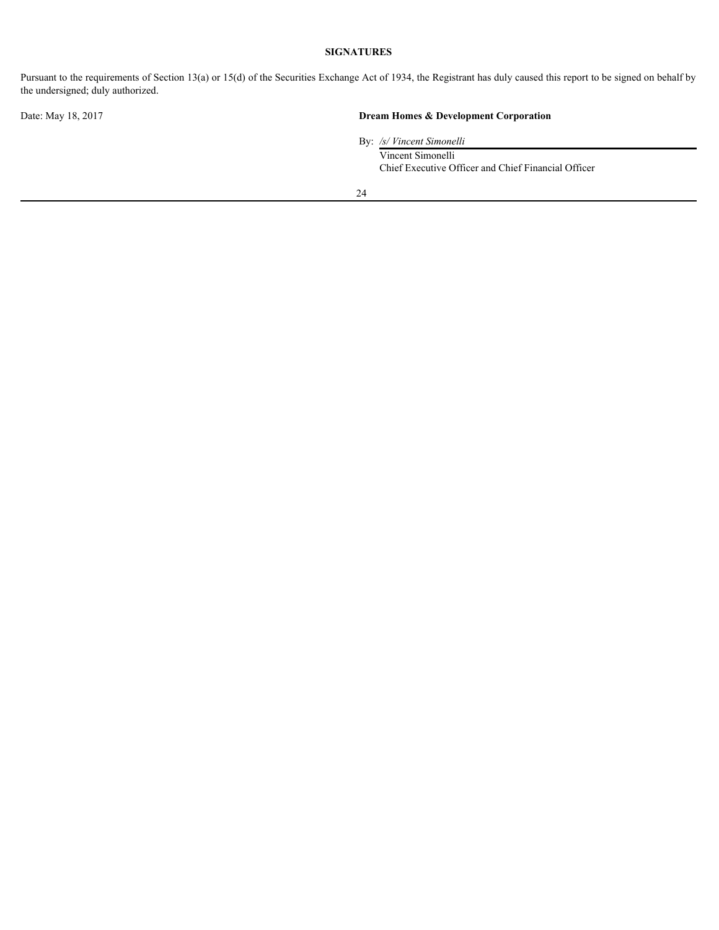# **SIGNATURES**

Pursuant to the requirements of Section 13(a) or 15(d) of the Securities Exchange Act of 1934, the Registrant has duly caused this report to be signed on behalf by the undersigned; duly authorized.

# Date: May 18, 2017 **Dream Homes & Development Corporation**

By: */s/ Vincent Simonelli*

Vincent Simonelli Chief Executive Officer and Chief Financial Officer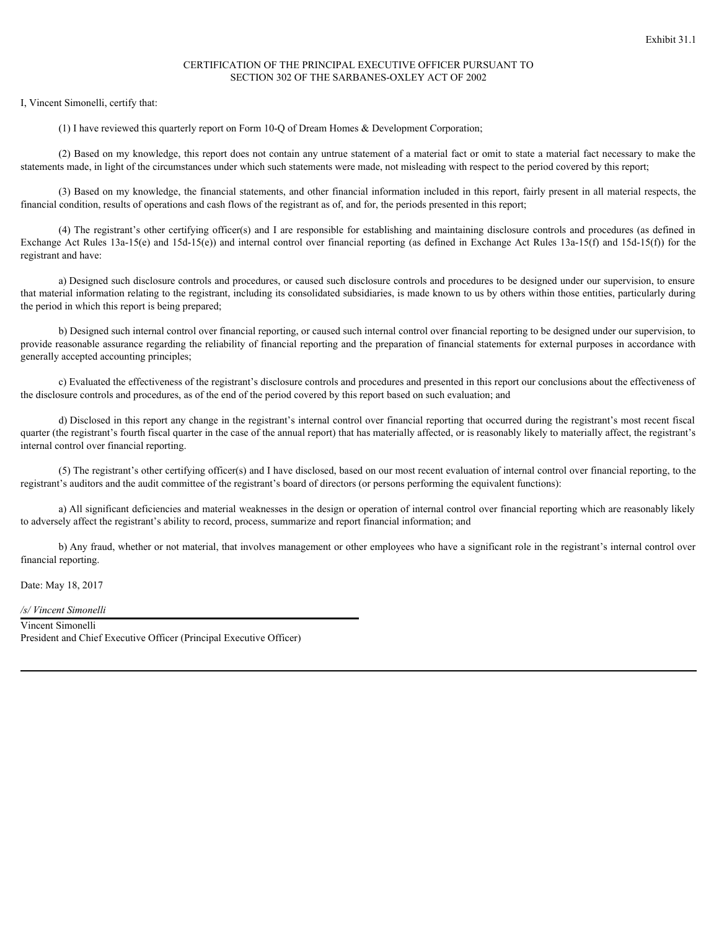## CERTIFICATION OF THE PRINCIPAL EXECUTIVE OFFICER PURSUANT TO SECTION 302 OF THE SARBANES-OXLEY ACT OF 2002

I, Vincent Simonelli, certify that:

(1) I have reviewed this quarterly report on Form 10-Q of Dream Homes & Development Corporation;

(2) Based on my knowledge, this report does not contain any untrue statement of a material fact or omit to state a material fact necessary to make the statements made, in light of the circumstances under which such statements were made, not misleading with respect to the period covered by this report;

(3) Based on my knowledge, the financial statements, and other financial information included in this report, fairly present in all material respects, the financial condition, results of operations and cash flows of the registrant as of, and for, the periods presented in this report;

(4) The registrant's other certifying officer(s) and I are responsible for establishing and maintaining disclosure controls and procedures (as defined in Exchange Act Rules 13a-15(e) and 15d-15(e)) and internal control over financial reporting (as defined in Exchange Act Rules 13a-15(f) and 15d-15(f)) for the registrant and have:

a) Designed such disclosure controls and procedures, or caused such disclosure controls and procedures to be designed under our supervision, to ensure that material information relating to the registrant, including its consolidated subsidiaries, is made known to us by others within those entities, particularly during the period in which this report is being prepared;

b) Designed such internal control over financial reporting, or caused such internal control over financial reporting to be designed under our supervision, to provide reasonable assurance regarding the reliability of financial reporting and the preparation of financial statements for external purposes in accordance with generally accepted accounting principles;

c) Evaluated the effectiveness of the registrant's disclosure controls and procedures and presented in this report our conclusions about the effectiveness of the disclosure controls and procedures, as of the end of the period covered by this report based on such evaluation; and

d) Disclosed in this report any change in the registrant's internal control over financial reporting that occurred during the registrant's most recent fiscal quarter (the registrant's fourth fiscal quarter in the case of the annual report) that has materially affected, or is reasonably likely to materially affect, the registrant's internal control over financial reporting.

(5) The registrant's other certifying officer(s) and I have disclosed, based on our most recent evaluation of internal control over financial reporting, to the registrant's auditors and the audit committee of the registrant's board of directors (or persons performing the equivalent functions):

a) All significant deficiencies and material weaknesses in the design or operation of internal control over financial reporting which are reasonably likely to adversely affect the registrant's ability to record, process, summarize and report financial information; and

b) Any fraud, whether or not material, that involves management or other employees who have a significant role in the registrant's internal control over financial reporting.

Date: May 18, 2017

*/s/ Vincent Simonelli*

Vincent Simonelli President and Chief Executive Officer (Principal Executive Officer)